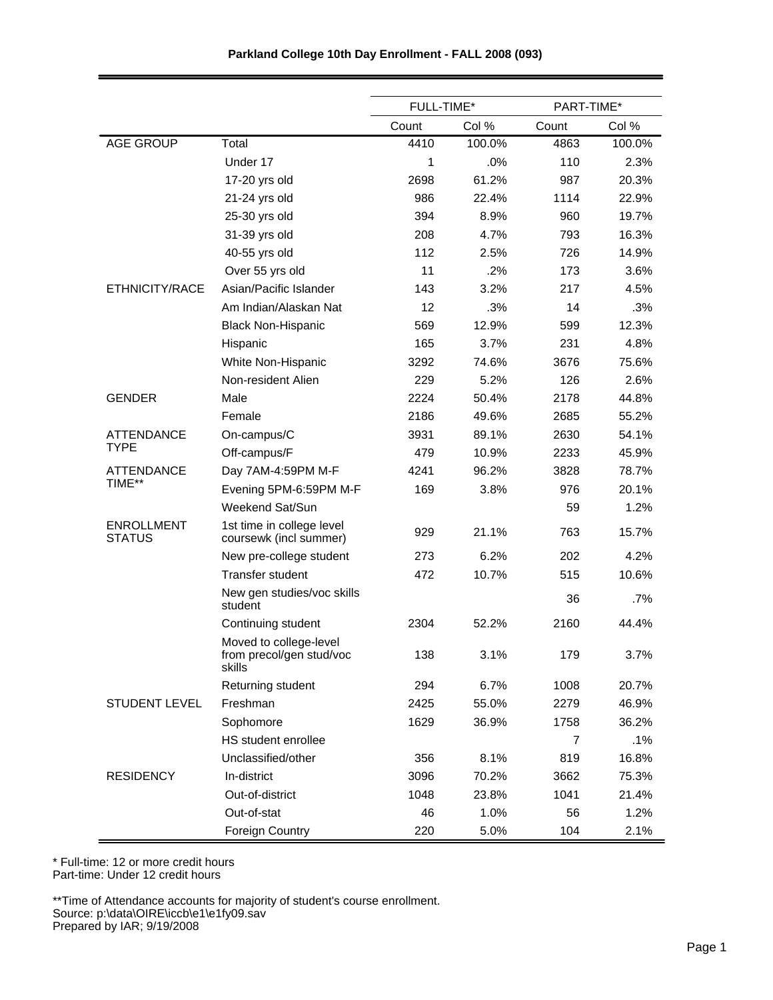|                                    |                                                              | FULL-TIME* |        | PART-TIME*     |        |
|------------------------------------|--------------------------------------------------------------|------------|--------|----------------|--------|
|                                    |                                                              | Count      | Col %  | Count          | Col %  |
| <b>AGE GROUP</b>                   | Total                                                        | 4410       | 100.0% | 4863           | 100.0% |
|                                    | Under 17                                                     | 1          | .0%    | 110            | 2.3%   |
|                                    | 17-20 yrs old                                                | 2698       | 61.2%  | 987            | 20.3%  |
|                                    | 21-24 yrs old                                                | 986        | 22.4%  | 1114           | 22.9%  |
|                                    | 25-30 yrs old                                                | 394        | 8.9%   | 960            | 19.7%  |
|                                    | 31-39 yrs old                                                | 208        | 4.7%   | 793            | 16.3%  |
|                                    | 40-55 yrs old                                                | 112        | 2.5%   | 726            | 14.9%  |
|                                    | Over 55 yrs old                                              | 11         | .2%    | 173            | 3.6%   |
| ETHNICITY/RACE                     | Asian/Pacific Islander                                       | 143        | 3.2%   | 217            | 4.5%   |
|                                    | Am Indian/Alaskan Nat                                        | 12         | .3%    | 14             | .3%    |
|                                    | <b>Black Non-Hispanic</b>                                    | 569        | 12.9%  | 599            | 12.3%  |
|                                    | Hispanic                                                     | 165        | 3.7%   | 231            | 4.8%   |
|                                    | White Non-Hispanic                                           | 3292       | 74.6%  | 3676           | 75.6%  |
|                                    | Non-resident Alien                                           | 229        | 5.2%   | 126            | 2.6%   |
| <b>GENDER</b>                      | Male                                                         | 2224       | 50.4%  | 2178           | 44.8%  |
|                                    | Female                                                       | 2186       | 49.6%  | 2685           | 55.2%  |
| <b>ATTENDANCE</b>                  | On-campus/C                                                  | 3931       | 89.1%  | 2630           | 54.1%  |
| TYPE                               | Off-campus/F                                                 | 479        | 10.9%  | 2233           | 45.9%  |
| ATTENDANCE                         | Day 7AM-4:59PM M-F                                           | 4241       | 96.2%  | 3828           | 78.7%  |
| TIME**                             | Evening 5PM-6:59PM M-F                                       | 169        | 3.8%   | 976            | 20.1%  |
|                                    | Weekend Sat/Sun                                              |            |        | 59             | 1.2%   |
| <b>ENROLLMENT</b><br><b>STATUS</b> | 1st time in college level<br>coursewk (incl summer)          | 929        | 21.1%  | 763            | 15.7%  |
|                                    | New pre-college student                                      | 273        | 6.2%   | 202            | 4.2%   |
|                                    | Transfer student                                             | 472        | 10.7%  | 515            | 10.6%  |
|                                    | New gen studies/voc skills<br>student                        |            |        | 36             | .7%    |
|                                    | Continuing student                                           | 2304       | 52.2%  | 2160           | 44.4%  |
|                                    | Moved to college-level<br>from precol/gen stud/voc<br>skills | 138        | 3.1%   | 179            | 3.7%   |
|                                    | Returning student                                            | 294        | 6.7%   | 1008           | 20.7%  |
| <b>STUDENT LEVEL</b>               | Freshman                                                     | 2425       | 55.0%  | 2279           | 46.9%  |
|                                    | Sophomore                                                    | 1629       | 36.9%  | 1758           | 36.2%  |
|                                    | HS student enrollee                                          |            |        | $\overline{7}$ | .1%    |
|                                    | Unclassified/other                                           | 356        | 8.1%   | 819            | 16.8%  |
| <b>RESIDENCY</b>                   | In-district                                                  | 3096       | 70.2%  | 3662           | 75.3%  |
|                                    | Out-of-district                                              | 1048       | 23.8%  | 1041           | 21.4%  |
|                                    | Out-of-stat                                                  | 46         | 1.0%   | 56             | 1.2%   |
|                                    | <b>Foreign Country</b>                                       | 220        | 5.0%   | 104            | 2.1%   |

\* Full-time: 12 or more credit hours

Part-time: Under 12 credit hours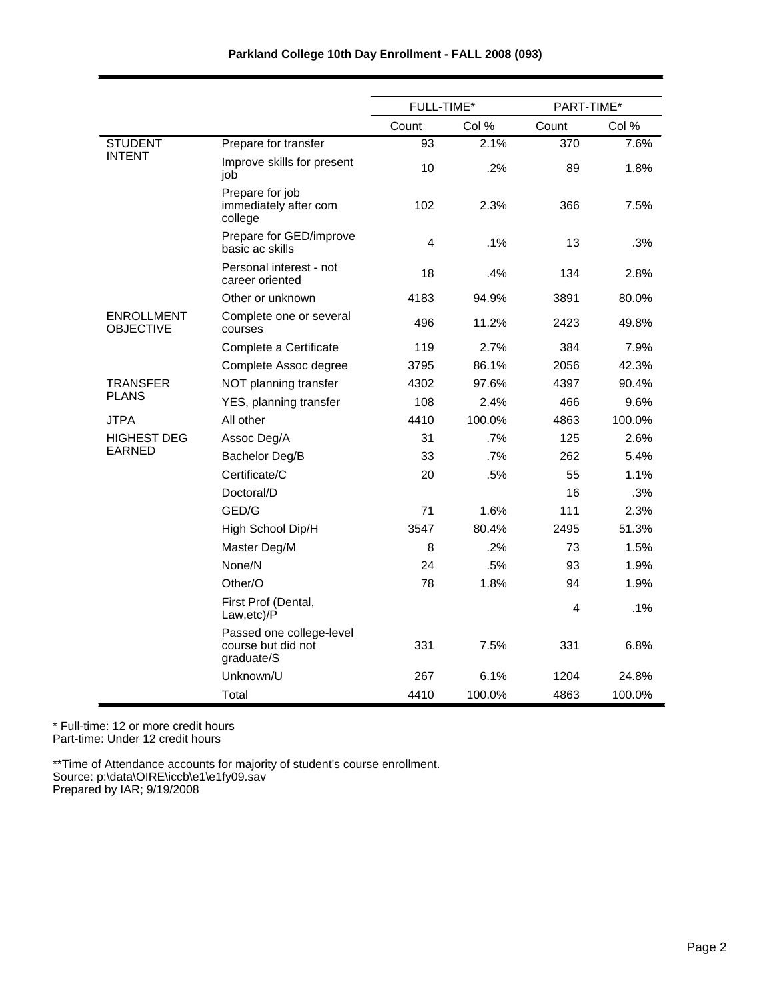|                                       |                                                              | FULL-TIME* |        | PART-TIME* |        |
|---------------------------------------|--------------------------------------------------------------|------------|--------|------------|--------|
|                                       |                                                              | Count      | Col %  | Count      | Col %  |
| <b>STUDENT</b>                        | Prepare for transfer                                         | 93         | 2.1%   | 370        | 7.6%   |
| <b>INTENT</b>                         | Improve skills for present<br>job                            | 10         | .2%    | 89         | 1.8%   |
|                                       | Prepare for job<br>immediately after com<br>college          | 102        | 2.3%   | 366        | 7.5%   |
|                                       | Prepare for GED/improve<br>basic ac skills                   | 4          | .1%    | 13         | .3%    |
|                                       | Personal interest - not<br>career oriented                   | 18         | .4%    | 134        | 2.8%   |
|                                       | Other or unknown                                             | 4183       | 94.9%  | 3891       | 80.0%  |
| <b>ENROLLMENT</b><br><b>OBJECTIVE</b> | Complete one or several<br>courses                           | 496        | 11.2%  | 2423       | 49.8%  |
|                                       | Complete a Certificate                                       | 119        | 2.7%   | 384        | 7.9%   |
|                                       | Complete Assoc degree                                        | 3795       | 86.1%  | 2056       | 42.3%  |
| TRANSFER                              | NOT planning transfer                                        | 4302       | 97.6%  | 4397       | 90.4%  |
| <b>PLANS</b>                          | YES, planning transfer                                       | 108        | 2.4%   | 466        | 9.6%   |
| JTPA                                  | All other                                                    | 4410       | 100.0% | 4863       | 100.0% |
| <b>HIGHEST DEG</b>                    | Assoc Deg/A                                                  | 31         | .7%    | 125        | 2.6%   |
| EARNED                                | Bachelor Deg/B                                               | 33         | .7%    | 262        | 5.4%   |
|                                       | Certificate/C                                                | 20         | .5%    | 55         | 1.1%   |
|                                       | Doctoral/D                                                   |            |        | 16         | .3%    |
|                                       | GED/G                                                        | 71         | 1.6%   | 111        | 2.3%   |
|                                       | High School Dip/H                                            | 3547       | 80.4%  | 2495       | 51.3%  |
|                                       | Master Deg/M                                                 | 8          | .2%    | 73         | 1.5%   |
|                                       | None/N                                                       | 24         | .5%    | 93         | 1.9%   |
|                                       | Other/O                                                      | 78         | 1.8%   | 94         | 1.9%   |
|                                       | First Prof (Dental,<br>Law,etc)/P                            |            |        | 4          | .1%    |
|                                       | Passed one college-level<br>course but did not<br>graduate/S | 331        | 7.5%   | 331        | 6.8%   |
|                                       | Unknown/U                                                    | 267        | 6.1%   | 1204       | 24.8%  |
|                                       | Total                                                        | 4410       | 100.0% | 4863       | 100.0% |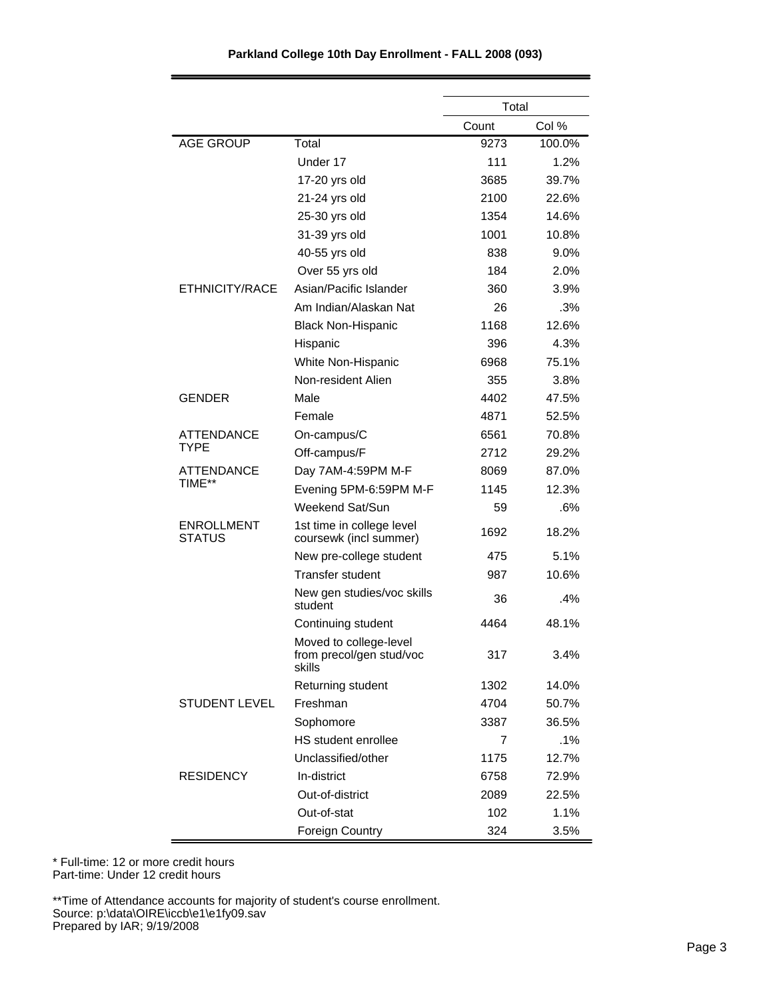| Parkland College 10th Day Enrollment - FALL 2008 (093) |  |  |  |  |  |
|--------------------------------------------------------|--|--|--|--|--|
|--------------------------------------------------------|--|--|--|--|--|

|                             |                                                              | Total |        |
|-----------------------------|--------------------------------------------------------------|-------|--------|
|                             |                                                              | Count | Col %  |
| <b>AGE GROUP</b>            | Total                                                        | 9273  | 100.0% |
|                             | Under 17                                                     | 111   | 1.2%   |
|                             | 17-20 yrs old                                                | 3685  | 39.7%  |
|                             | 21-24 yrs old                                                | 2100  | 22.6%  |
|                             | 25-30 yrs old                                                | 1354  | 14.6%  |
|                             | 31-39 yrs old                                                | 1001  | 10.8%  |
|                             | 40-55 yrs old                                                | 838   | 9.0%   |
|                             | Over 55 yrs old                                              | 184   | 2.0%   |
| ETHNICITY/RACE              | Asian/Pacific Islander                                       | 360   | 3.9%   |
|                             | Am Indian/Alaskan Nat                                        | 26    | .3%    |
|                             | <b>Black Non-Hispanic</b>                                    | 1168  | 12.6%  |
|                             | Hispanic                                                     | 396   | 4.3%   |
|                             | White Non-Hispanic                                           | 6968  | 75.1%  |
|                             | Non-resident Alien                                           | 355   | 3.8%   |
| <b>GENDER</b>               | Male                                                         | 4402  | 47.5%  |
|                             | Female                                                       | 4871  | 52.5%  |
| ATTENDANCE                  | On-campus/C                                                  | 6561  | 70.8%  |
| <b>TYPE</b>                 | Off-campus/F                                                 | 2712  | 29.2%  |
| ATTENDANCE                  | Day 7AM-4:59PM M-F                                           | 8069  | 87.0%  |
| TIME**                      | Evening 5PM-6:59PM M-F                                       | 1145  | 12.3%  |
|                             | Weekend Sat/Sun                                              | 59    | .6%    |
| <b>ENROLLMENT</b><br>STATUS | 1st time in college level<br>coursewk (incl summer)          | 1692  | 18.2%  |
|                             | New pre-college student                                      | 475   | 5.1%   |
|                             | <b>Transfer student</b>                                      | 987   | 10.6%  |
|                             | New gen studies/voc skills<br>student                        | 36    | .4%    |
|                             | Continuing student                                           | 4464  | 48.1%  |
|                             | Moved to college-level<br>from precol/gen stud/voc<br>skills | 317   | 3.4%   |
|                             | Returning student                                            | 1302  | 14.0%  |
| <b>STUDENT LEVEL</b>        | Freshman                                                     | 4704  | 50.7%  |
|                             | Sophomore                                                    | 3387  | 36.5%  |
|                             | HS student enrollee                                          | 7     | .1%    |
|                             | Unclassified/other                                           | 1175  | 12.7%  |
| <b>RESIDENCY</b>            | In-district                                                  | 6758  | 72.9%  |
|                             | Out-of-district                                              | 2089  | 22.5%  |
|                             | Out-of-stat                                                  | 102   | 1.1%   |
|                             | <b>Foreign Country</b>                                       | 324   | 3.5%   |

\* Full-time: 12 or more credit hours

Part-time: Under 12 credit hours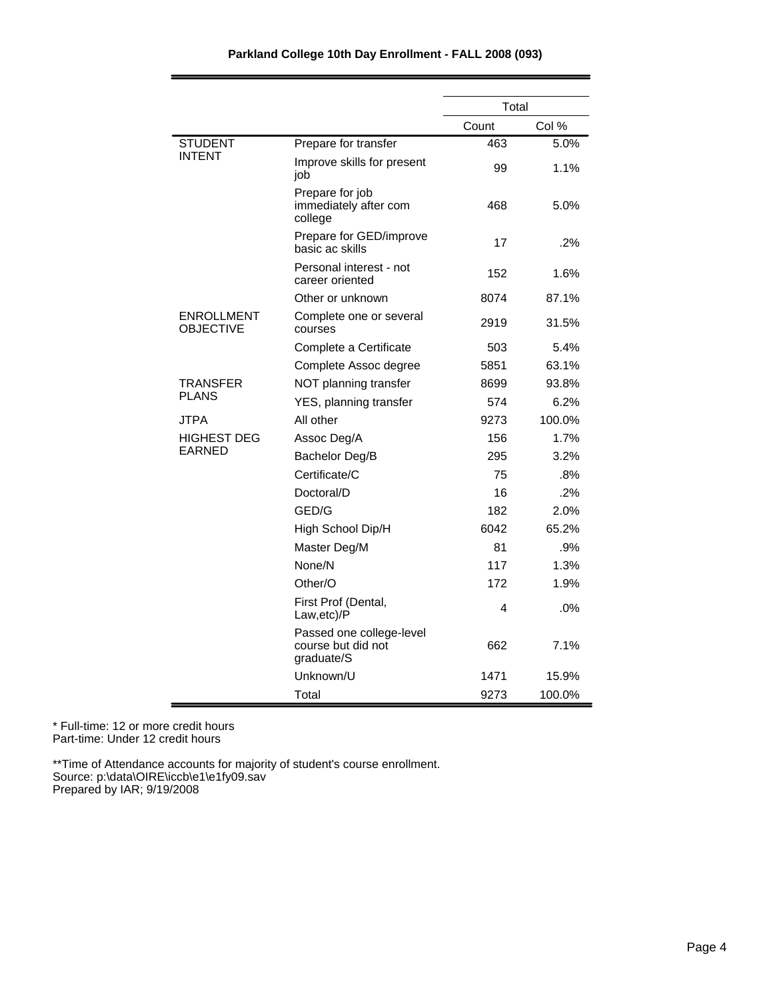|                                       |                                                              | Total |        |
|---------------------------------------|--------------------------------------------------------------|-------|--------|
|                                       |                                                              | Count | Col %  |
| <b>STUDENT</b>                        | Prepare for transfer                                         | 463   | 5.0%   |
| <b>INTENT</b>                         | Improve skills for present<br>job                            | 99    | 1.1%   |
|                                       | Prepare for job<br>immediately after com<br>college          | 468   | 5.0%   |
|                                       | Prepare for GED/improve<br>basic ac skills                   | 17    | .2%    |
|                                       | Personal interest - not<br>career oriented                   | 152   | 1.6%   |
|                                       | Other or unknown                                             | 8074  | 87.1%  |
| <b>ENROLLMENT</b><br><b>OBJECTIVE</b> | Complete one or several<br>courses                           | 2919  | 31.5%  |
|                                       | Complete a Certificate                                       | 503   | 5.4%   |
|                                       | Complete Assoc degree                                        | 5851  | 63.1%  |
| TRANSFER                              | NOT planning transfer                                        | 8699  | 93.8%  |
| <b>PLANS</b>                          | YES, planning transfer                                       | 574   | 6.2%   |
| <b>JTPA</b>                           | All other                                                    | 9273  | 100.0% |
| <b>HIGHEST DEG</b>                    | Assoc Deg/A                                                  | 156   | 1.7%   |
| <b>EARNED</b>                         | Bachelor Deg/B                                               | 295   | 3.2%   |
|                                       | Certificate/C                                                | 75    | .8%    |
|                                       | Doctoral/D                                                   | 16    | .2%    |
|                                       | GED/G                                                        | 182   | 2.0%   |
|                                       | High School Dip/H                                            | 6042  | 65.2%  |
|                                       | Master Deg/M                                                 | 81    | .9%    |
|                                       | None/N                                                       | 117   | 1.3%   |
|                                       | Other/O                                                      | 172   | 1.9%   |
|                                       | First Prof (Dental,<br>Law, etc)/P                           | 4     | .0%    |
|                                       | Passed one college-level<br>course but did not<br>graduate/S | 662   | 7.1%   |
|                                       | Unknown/U                                                    | 1471  | 15.9%  |
|                                       | Total                                                        | 9273  | 100.0% |

\* Full-time: 12 or more credit hours Part-time: Under 12 credit hours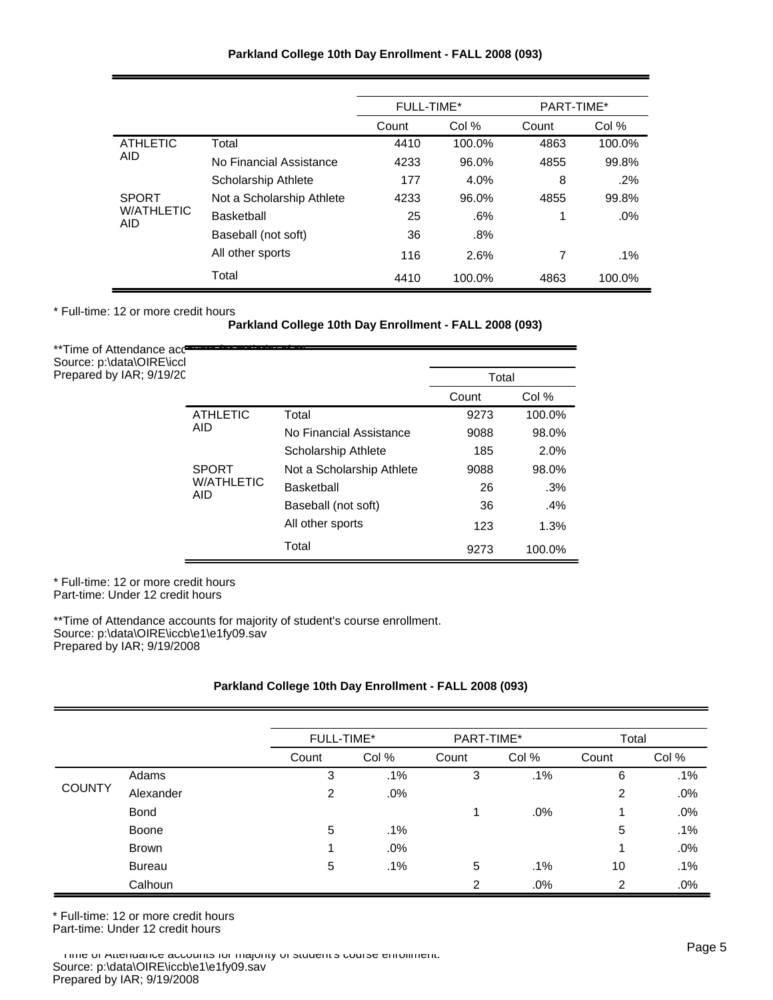|                          |                           | FULL-TIME* |        | PART-TIME* |        |
|--------------------------|---------------------------|------------|--------|------------|--------|
|                          |                           | Count      | Col %  | Count      | Col %  |
| <b>ATHLETIC</b>          | Total                     | 4410       | 100.0% | 4863       | 100.0% |
| <b>AID</b>               | No Financial Assistance   | 4233       | 96.0%  | 4855       | 99.8%  |
|                          | Scholarship Athlete       | 177        | 4.0%   | 8          | $.2\%$ |
| <b>SPORT</b>             | Not a Scholarship Athlete | 4233       | 96.0%  | 4855       | 99.8%  |
| <b>W/ATHLETIC</b><br>AID | Basketball                | 25         | .6%    | 1          | $.0\%$ |
|                          | Baseball (not soft)       | 36         | .8%    |            |        |
|                          | All other sports          | 116        | 2.6%   | 7          | $.1\%$ |
|                          | Total                     | 4410       | 100.0% | 4863       | 100.0% |

\* Full-time: 12 or more credit hours

**Parkland College 10th Day Enrollment - FALL 2008 (093)**

| **Time of Attendance accameration and the state<br>Source: p:\data\OIRE\iccl |                                 |                            |       |        |
|------------------------------------------------------------------------------|---------------------------------|----------------------------|-------|--------|
| Prepared by IAR; 9/19/20                                                     |                                 |                            | Total |        |
|                                                                              |                                 |                            | Count | Col %  |
|                                                                              | <b>ATHLETIC</b>                 | Total                      | 9273  | 100.0% |
|                                                                              | <b>AID</b>                      | No Financial Assistance    | 9088  | 98.0%  |
|                                                                              |                                 | <b>Scholarship Athlete</b> | 185   | 2.0%   |
|                                                                              | <b>SPORT</b>                    | Not a Scholarship Athlete  | 9088  | 98.0%  |
|                                                                              | <b>W/ATHLETIC</b><br><b>AID</b> | Basketball                 | 26    | .3%    |
|                                                                              |                                 | Baseball (not soft)        | 36    | .4%    |
|                                                                              |                                 | All other sports           | 123   | 1.3%   |
|                                                                              |                                 | Total                      | 9273  | 100.0% |

\* Full-time: 12 or more credit hours Part-time: Under 12 credit hours

\*\*Time of Attendance accounts for majority of student's course enrollment. Source: p:\data\OIRE\iccb\e1\e1fy09.sav Prepared by IAR; 9/19/2008

# **Parkland College 10th Day Enrollment - FALL 2008 (093)**

|               |               | FULL-TIME* |       | PART-TIME* |       | Total         |        |
|---------------|---------------|------------|-------|------------|-------|---------------|--------|
|               |               | Count      | Col % | Count      | Col % | Count         | Col %  |
|               | Adams         | 3          | .1%   | 3          | .1%   | 6             | $.1\%$ |
| <b>COUNTY</b> | Alexander     | 2          | .0%   |            |       | 2             | .0%    |
|               | <b>Bond</b>   |            |       | 1          | .0%   | -1            | .0%    |
|               | Boone         | 5          | .1%   |            |       | 5             | .1%    |
|               | <b>Brown</b>  |            | .0%   |            |       |               | .0%    |
|               | <b>Bureau</b> | 5          | .1%   | 5          | .1%   | 10            | $.1\%$ |
|               | Calhoun       |            |       | 2          | .0%   | $\mathcal{P}$ | .0%    |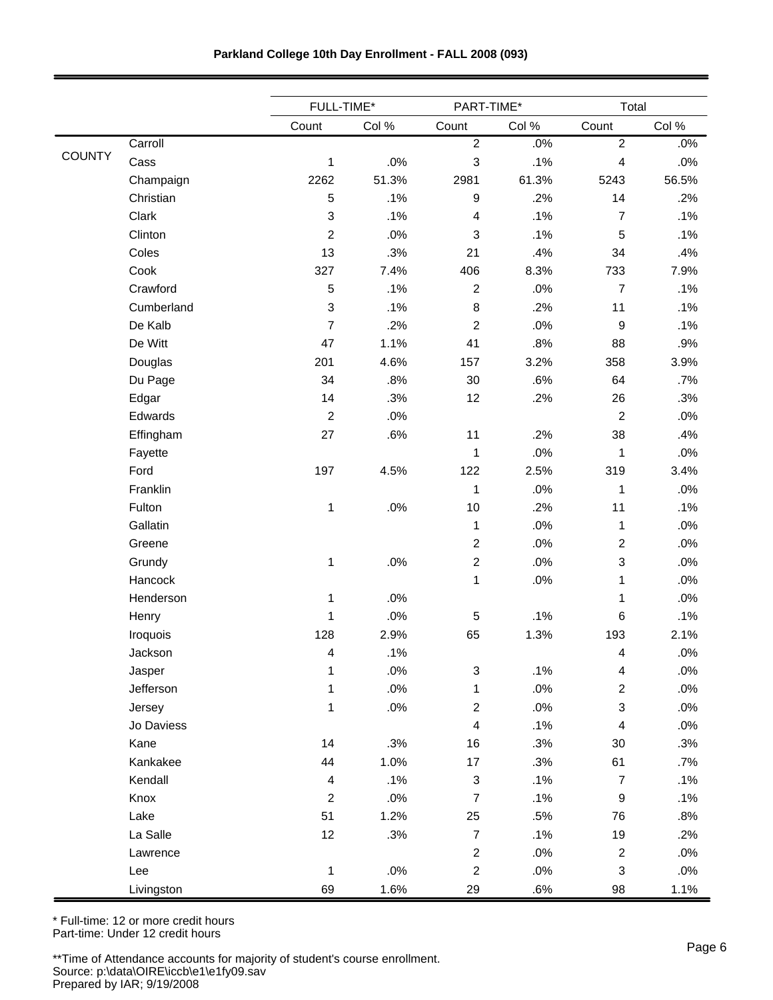| Parkland College 10th Day Enrollment - FALL 2008 (093) |  |  |  |  |  |
|--------------------------------------------------------|--|--|--|--|--|
|--------------------------------------------------------|--|--|--|--|--|

|               |            | FULL-TIME*     |        |                           | PART-TIME* |                           | Total  |
|---------------|------------|----------------|--------|---------------------------|------------|---------------------------|--------|
|               |            | Count          | Col %  | Count                     | Col %      | Count                     | Col %  |
|               | Carroll    |                |        | $\boldsymbol{2}$          | .0%        | $\sqrt{2}$                | .0%    |
| <b>COUNTY</b> | Cass       | 1              | .0%    | $\mathsf 3$               | .1%        | 4                         | .0%    |
|               | Champaign  | 2262           | 51.3%  | 2981                      | 61.3%      | 5243                      | 56.5%  |
|               | Christian  | 5              | .1%    | $\boldsymbol{9}$          | .2%        | 14                        | .2%    |
|               | Clark      | 3              | .1%    | $\overline{4}$            | .1%        | $\overline{7}$            | .1%    |
|               | Clinton    | $\overline{c}$ | .0%    | $\ensuremath{\mathsf{3}}$ | .1%        | 5                         | .1%    |
|               | Coles      | 13             | .3%    | 21                        | .4%        | 34                        | .4%    |
|               | Cook       | 327            | 7.4%   | 406                       | 8.3%       | 733                       | 7.9%   |
|               | Crawford   | 5              | .1%    | $\boldsymbol{2}$          | .0%        | $\overline{7}$            | .1%    |
|               | Cumberland | 3              | .1%    | $\bf 8$                   | .2%        | 11                        | .1%    |
|               | De Kalb    | $\overline{7}$ | .2%    | $\overline{2}$            | .0%        | $\boldsymbol{9}$          | .1%    |
|               | De Witt    | 47             | 1.1%   | 41                        | .8%        | 88                        | .9%    |
|               | Douglas    | 201            | 4.6%   | 157                       | 3.2%       | 358                       | 3.9%   |
|               | Du Page    | 34             | .8%    | 30                        | .6%        | 64                        | .7%    |
|               | Edgar      | 14             | .3%    | 12                        | .2%        | 26                        | .3%    |
|               | Edwards    | $\overline{2}$ | .0%    |                           |            | $\overline{c}$            | .0%    |
|               | Effingham  | 27             | .6%    | 11                        | .2%        | 38                        | .4%    |
|               | Fayette    |                |        | $\mathbf{1}$              | .0%        | 1                         | .0%    |
|               | Ford       | 197            | 4.5%   | 122                       | 2.5%       | 319                       | 3.4%   |
|               | Franklin   |                |        | $\mathbf 1$               | .0%        | 1                         | .0%    |
|               | Fulton     | $\mathbf 1$    | .0%    | 10                        | .2%        | 11                        | .1%    |
|               | Gallatin   |                |        | $\mathbf{1}$              | .0%        | 1                         | .0%    |
|               | Greene     |                |        | $\sqrt{2}$                | .0%        | $\overline{2}$            | .0%    |
|               | Grundy     | 1              | .0%    | $\boldsymbol{2}$          | .0%        | 3                         | .0%    |
|               | Hancock    |                |        | $\mathbf{1}$              | .0%        | 1                         | .0%    |
|               | Henderson  | 1              | .0%    |                           |            | 1                         | .0%    |
|               | Henry      | 1              | .0%    | $\mathbf 5$               | .1%        | 6                         | .1%    |
|               | Iroquois   | 128            | 2.9%   | 65                        | 1.3%       | 193                       | 2.1%   |
|               | Jackson    | 4              | .1%    |                           |            | 4                         | $.0\%$ |
|               | Jasper     | 1              | .0%    | $\ensuremath{\mathsf{3}}$ | .1%        | $\overline{\mathbf{4}}$   | $.0\%$ |
|               | Jefferson  | 1              | $.0\%$ | 1                         | .0%        | $\overline{2}$            | $.0\%$ |
|               | Jersey     | 1              | $.0\%$ | $\sqrt{2}$                | .0%        | $\ensuremath{\mathsf{3}}$ | $.0\%$ |
|               | Jo Daviess |                |        | $\overline{\mathbf{4}}$   | .1%        | $\overline{\mathbf{4}}$   | .0%    |
|               | Kane       | 14             | .3%    | 16                        | .3%        | 30                        | .3%    |
|               | Kankakee   | 44             | 1.0%   | $17\,$                    | .3%        | 61                        | .7%    |
|               | Kendall    | 4              | .1%    | $\ensuremath{\mathsf{3}}$ | .1%        | $\overline{7}$            | .1%    |
|               | Knox       | $\overline{2}$ | .0%    | $\overline{7}$            | .1%        | $\boldsymbol{9}$          | .1%    |
|               | Lake       | 51             | 1.2%   | 25                        | .5%        | 76                        | .8%    |
|               | La Salle   | 12             | .3%    | $\boldsymbol{7}$          | .1%        | 19                        | .2%    |
|               | Lawrence   |                |        | $\boldsymbol{2}$          | .0%        | $\overline{c}$            | .0%    |
|               | Lee        | 1              | $.0\%$ | $\sqrt{2}$                | $.0\%$     | 3                         | $.0\%$ |
|               | Livingston | 69             | 1.6%   | 29                        | .6%        | 98                        | 1.1%   |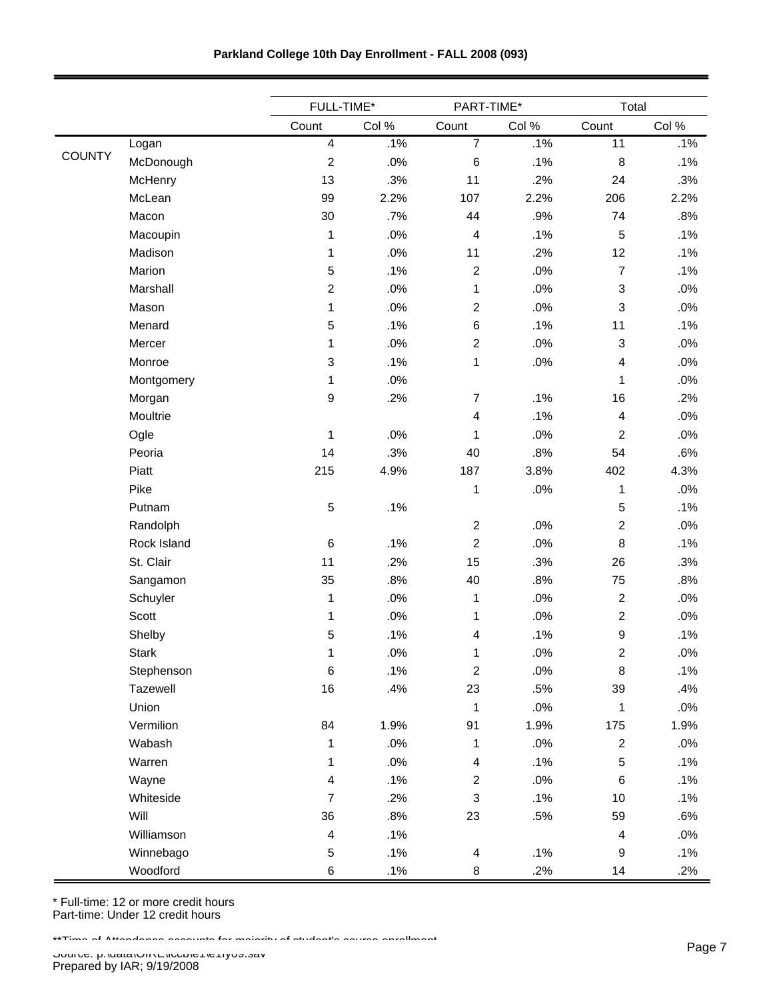| Parkland College 10th Day Enrollment - FALL 2008 (093) |  |  |  |  |  |
|--------------------------------------------------------|--|--|--|--|--|
|--------------------------------------------------------|--|--|--|--|--|

|               |              | FULL-TIME*              |        | PART-TIME*                |        | Total                     |       |
|---------------|--------------|-------------------------|--------|---------------------------|--------|---------------------------|-------|
|               |              | Count                   | Col %  | Count                     | Col %  | Count                     | Col % |
|               | Logan        | $\overline{\mathbf{4}}$ | .1%    | $\overline{7}$            | .1%    | 11                        | .1%   |
| <b>COUNTY</b> | McDonough    | $\overline{c}$          | .0%    | 6                         | .1%    | $\,8\,$                   | .1%   |
|               | McHenry      | 13                      | .3%    | 11                        | .2%    | 24                        | .3%   |
|               | McLean       | 99                      | 2.2%   | 107                       | 2.2%   | 206                       | 2.2%  |
|               | Macon        | 30                      | .7%    | 44                        | .9%    | 74                        | .8%   |
|               | Macoupin     | 1                       | .0%    | 4                         | .1%    | 5                         | .1%   |
|               | Madison      | 1                       | .0%    | 11                        | .2%    | 12                        | .1%   |
|               | Marion       | 5                       | .1%    | $\overline{c}$            | .0%    | $\overline{7}$            | .1%   |
|               | Marshall     | $\overline{2}$          | .0%    | $\mathbf 1$               | .0%    | $\sqrt{3}$                | .0%   |
|               | Mason        | 1                       | .0%    | $\boldsymbol{2}$          | .0%    | 3                         | .0%   |
|               | Menard       | 5                       | .1%    | 6                         | .1%    | 11                        | .1%   |
|               | Mercer       | 1                       | .0%    | $\overline{c}$            | .0%    | $\ensuremath{\mathsf{3}}$ | .0%   |
|               | Monroe       | 3                       | .1%    | $\mathbf{1}$              | .0%    | $\overline{\mathbf{4}}$   | .0%   |
|               | Montgomery   | 1                       | .0%    |                           |        | $\mathbf{1}$              | .0%   |
|               | Morgan       | 9                       | .2%    | $\boldsymbol{7}$          | .1%    | 16                        | .2%   |
|               | Moultrie     |                         |        | $\overline{\mathbf{4}}$   | .1%    | $\overline{4}$            | .0%   |
|               | Ogle         | 1                       | .0%    | $\mathbf{1}$              | .0%    | $\overline{c}$            | .0%   |
|               | Peoria       | 14                      | .3%    | 40                        | .8%    | 54                        | .6%   |
|               | Piatt        | 215                     | 4.9%   | 187                       | 3.8%   | 402                       | 4.3%  |
|               | Pike         |                         |        | $\mathbf 1$               | .0%    | $\mathbf{1}$              | .0%   |
|               | Putnam       | 5                       | .1%    |                           |        | $\sqrt{5}$                | .1%   |
|               | Randolph     |                         |        | $\overline{c}$            | .0%    | $\boldsymbol{2}$          | .0%   |
|               | Rock Island  | 6                       | .1%    | $\overline{c}$            | .0%    | 8                         | .1%   |
|               | St. Clair    | 11                      | .2%    | 15                        | .3%    | 26                        | .3%   |
|               | Sangamon     | 35                      | .8%    | 40                        | .8%    | 75                        | .8%   |
|               | Schuyler     | 1                       | .0%    | $\mathbf{1}$              | .0%    | $\boldsymbol{2}$          | .0%   |
|               | Scott        | 1                       | .0%    | 1                         | .0%    | $\boldsymbol{2}$          | .0%   |
|               | Shelby       | 5                       | .1%    | $\overline{4}$            | .1%    | 9                         | .1%   |
|               | <b>Stark</b> | 1                       | $.0\%$ | 1                         | $.0\%$ | $\overline{c}$            | .0%   |
|               | Stephenson   | 6                       | .1%    | $\overline{c}$            | $.0\%$ | $\bf 8$                   | .1%   |
|               | Tazewell     | 16                      | .4%    | 23                        | .5%    | 39                        | .4%   |
|               | Union        |                         |        | 1                         | $.0\%$ | 1                         | .0%   |
|               | Vermilion    | 84                      | 1.9%   | 91                        | 1.9%   | 175                       | 1.9%  |
|               | Wabash       | 1                       | $.0\%$ | $\mathbf{1}$              | .0%    | $\overline{c}$            | .0%   |
|               | Warren       | 1                       | $.0\%$ | 4                         | .1%    | 5                         | .1%   |
|               | Wayne        | 4                       | .1%    | $\overline{c}$            | .0%    | $\,6$                     | .1%   |
|               | Whiteside    | $\overline{7}$          | .2%    | $\ensuremath{\mathsf{3}}$ | .1%    | 10                        | .1%   |
|               | Will         | 36                      | .8%    | 23                        | .5%    | 59                        | .6%   |
|               | Williamson   | $\overline{\mathbf{4}}$ | .1%    |                           |        | $\overline{4}$            | .0%   |
|               | Winnebago    | 5                       | .1%    | $\overline{\mathbf{4}}$   | .1%    | $\boldsymbol{9}$          | .1%   |
|               | Woodford     | 6                       | .1%    | $\,8\,$                   | .2%    | 14                        | .2%   |

\*\*Time of Attendance accounts for majority of student's course enrollment.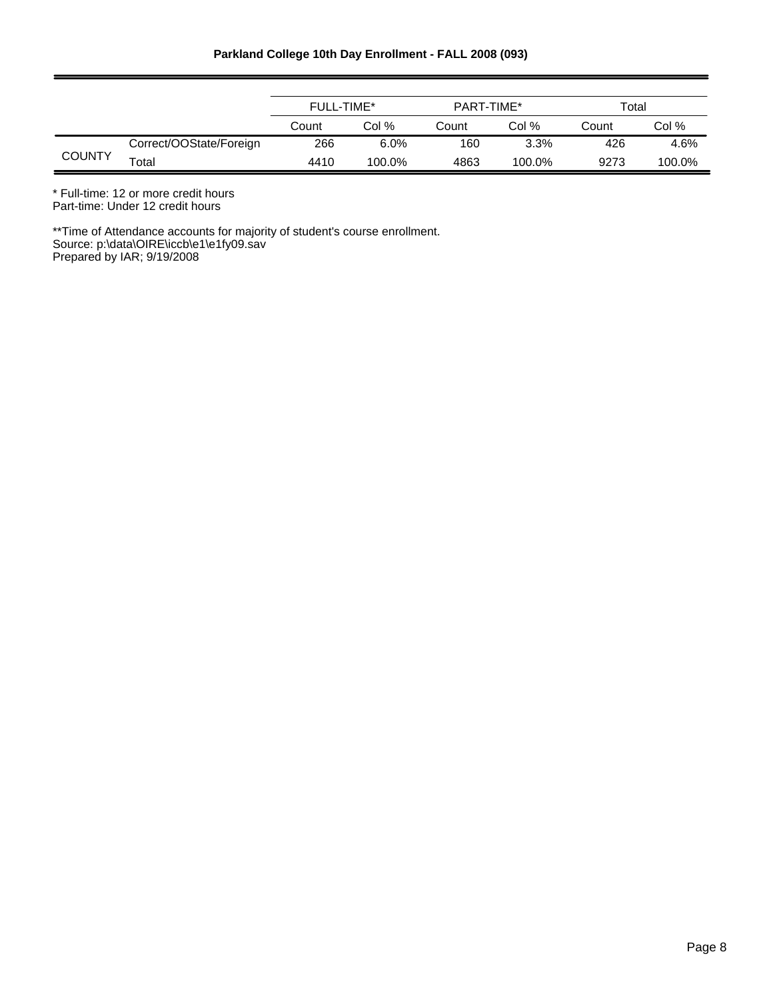|               |                         | <b>FULL-TIME*</b> |        | PART-TIME* |         | Total |        |
|---------------|-------------------------|-------------------|--------|------------|---------|-------|--------|
|               |                         | Count             | Col %  | Count      | Col %   | Count | Col %  |
|               | Correct/OOState/Foreign | 266               | 6.0%   | 160        | $3.3\%$ | 426   | 4.6%   |
| <b>COUNTY</b> | Total                   | 4410              | 100.0% | 4863       | 100.0%  | 9273  | 100.0% |

\* Full-time: 12 or more credit hours

Part-time: Under 12 credit hours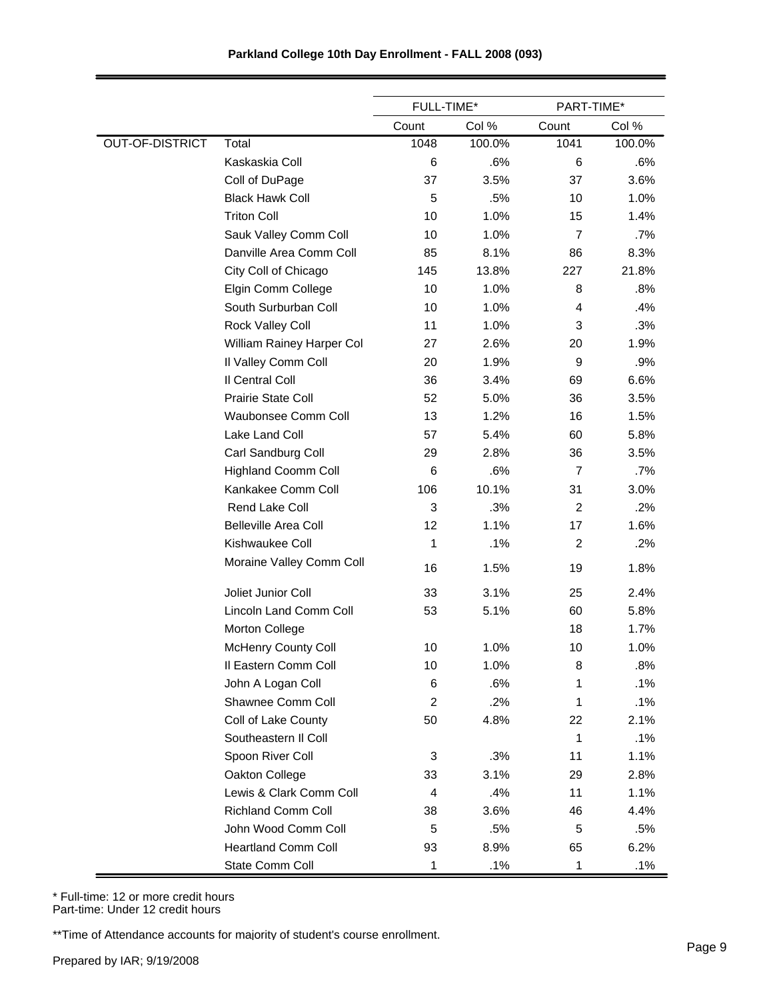|                        |                             | FULL-TIME*              |        | PART-TIME*     |        |
|------------------------|-----------------------------|-------------------------|--------|----------------|--------|
|                        |                             | Count                   | Col %  | Count          | Col %  |
| <b>OUT-OF-DISTRICT</b> | Total                       | 1048                    | 100.0% | 1041           | 100.0% |
|                        | Kaskaskia Coll              | 6                       | .6%    | 6              | .6%    |
|                        | Coll of DuPage              | 37                      | 3.5%   | 37             | 3.6%   |
|                        | <b>Black Hawk Coll</b>      | 5                       | .5%    | 10             | 1.0%   |
|                        | <b>Triton Coll</b>          | 10                      | 1.0%   | 15             | 1.4%   |
|                        | Sauk Valley Comm Coll       | 10                      | 1.0%   | $\overline{7}$ | .7%    |
|                        | Danville Area Comm Coll     | 85                      | 8.1%   | 86             | 8.3%   |
|                        | City Coll of Chicago        | 145                     | 13.8%  | 227            | 21.8%  |
|                        | Elgin Comm College          | 10                      | 1.0%   | 8              | .8%    |
|                        | South Surburban Coll        | 10                      | 1.0%   | $\overline{4}$ | .4%    |
|                        | Rock Valley Coll            | 11                      | 1.0%   | 3              | .3%    |
|                        | William Rainey Harper Col   | 27                      | 2.6%   | 20             | 1.9%   |
|                        | Il Valley Comm Coll         | 20                      | 1.9%   | 9              | .9%    |
|                        | Il Central Coll             | 36                      | 3.4%   | 69             | 6.6%   |
|                        | <b>Prairie State Coll</b>   | 52                      | 5.0%   | 36             | 3.5%   |
|                        | Waubonsee Comm Coll         | 13                      | 1.2%   | 16             | 1.5%   |
|                        | Lake Land Coll              | 57                      | 5.4%   | 60             | 5.8%   |
|                        | Carl Sandburg Coll          | 29                      | 2.8%   | 36             | 3.5%   |
|                        | <b>Highland Coomm Coll</b>  | 6                       | .6%    | $\overline{7}$ | .7%    |
|                        | Kankakee Comm Coll          | 106                     | 10.1%  | 31             | 3.0%   |
|                        | <b>Rend Lake Coll</b>       | 3                       | .3%    | $\overline{2}$ | .2%    |
|                        | <b>Belleville Area Coll</b> | 12                      | 1.1%   | 17             | 1.6%   |
|                        | Kishwaukee Coll             | 1                       | .1%    | $\overline{c}$ | .2%    |
|                        | Moraine Valley Comm Coll    | 16                      | 1.5%   | 19             | 1.8%   |
|                        | Joliet Junior Coll          | 33                      | 3.1%   | 25             | 2.4%   |
|                        | Lincoln Land Comm Coll      | 53                      | 5.1%   | 60             | 5.8%   |
|                        | Morton College              |                         |        | 18             | 1.7%   |
|                        | <b>McHenry County Coll</b>  | 10                      | 1.0%   | 10             | 1.0%   |
|                        | Il Eastern Comm Coll        | 10                      | 1.0%   | 8              | .8%    |
|                        | John A Logan Coll           | 6                       | .6%    | 1              | .1%    |
|                        | Shawnee Comm Coll           | $\overline{\mathbf{c}}$ | .2%    | 1              | .1%    |
|                        | Coll of Lake County         | 50                      | 4.8%   | 22             | 2.1%   |
|                        | Southeastern II Coll        |                         |        | 1              | .1%    |
|                        | Spoon River Coll            | 3                       | .3%    | 11             | 1.1%   |
|                        | Oakton College              | 33                      | 3.1%   | 29             | 2.8%   |
|                        | Lewis & Clark Comm Coll     | 4                       | .4%    | 11             | 1.1%   |
|                        | <b>Richland Comm Coll</b>   | 38                      | 3.6%   | 46             | 4.4%   |
|                        | John Wood Comm Coll         | 5                       | .5%    | 5              | .5%    |
|                        | <b>Heartland Comm Coll</b>  | 93                      | 8.9%   | 65             | 6.2%   |
|                        | State Comm Coll             | 1                       | .1%    | 1              | .1%    |

\* Full-time: 12 or more credit hours Part-time: Under 12 credit hours

\*\*Time of Attendance accounts for majority of student's course enrollment.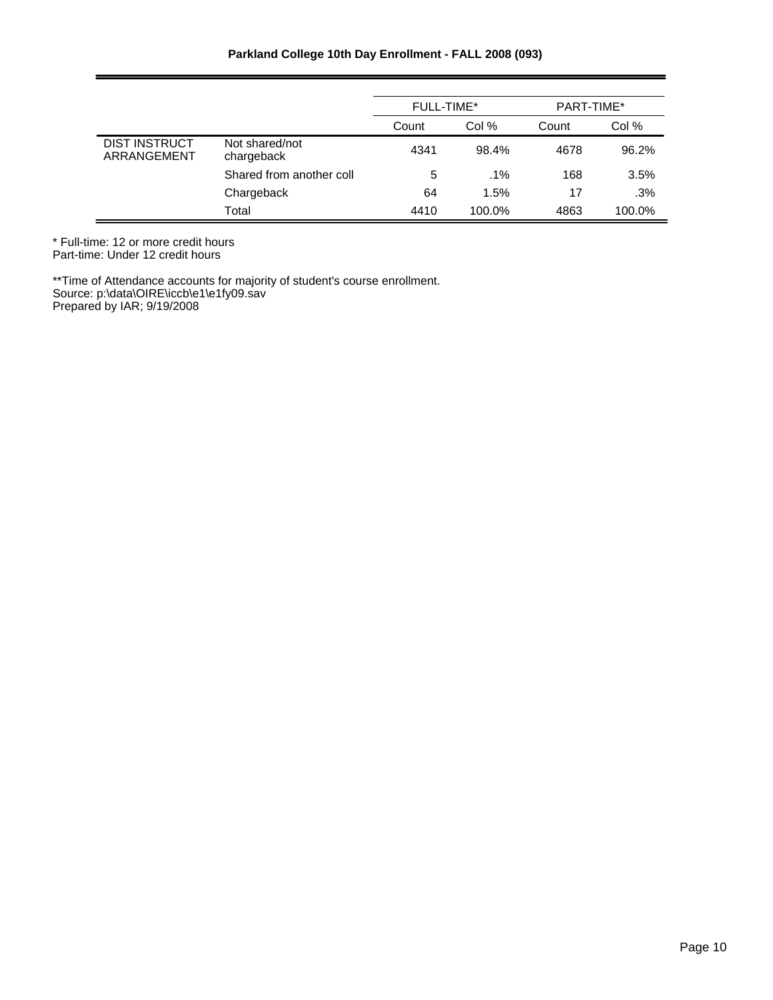|                                     |                              | FULL-TIME* |        | PART-TIME* |        |
|-------------------------------------|------------------------------|------------|--------|------------|--------|
|                                     |                              | Count      | Col %  | Count      | Col %  |
| <b>DIST INSTRUCT</b><br>ARRANGEMENT | Not shared/not<br>chargeback | 4341       | 98.4%  | 4678       | 96.2%  |
|                                     | Shared from another coll     | 5          | $.1\%$ | 168        | 3.5%   |
|                                     | Chargeback                   | 64         | 1.5%   | 17         | .3%    |
|                                     | Total                        | 4410       | 100.0% | 4863       | 100.0% |

\* Full-time: 12 or more credit hours Part-time: Under 12 credit hours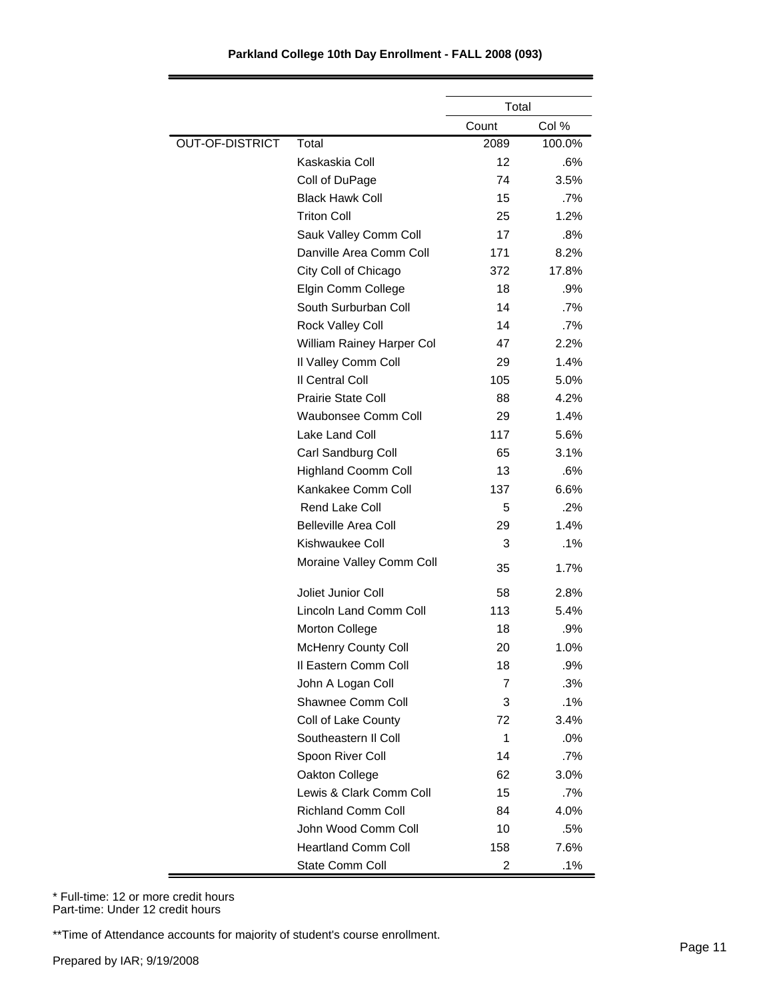|                        |                             | Total             |        |
|------------------------|-----------------------------|-------------------|--------|
|                        |                             | Count             | Col %  |
| <b>OUT-OF-DISTRICT</b> | Total                       | 2089              | 100.0% |
|                        | Kaskaskia Coll              | $12 \overline{ }$ | .6%    |
|                        | Coll of DuPage              | 74                | 3.5%   |
|                        | <b>Black Hawk Coll</b>      | 15                | $.7\%$ |
|                        | <b>Triton Coll</b>          | 25                | 1.2%   |
|                        | Sauk Valley Comm Coll       | 17                | .8%    |
|                        | Danville Area Comm Coll     | 171               | 8.2%   |
|                        | City Coll of Chicago        | 372               | 17.8%  |
|                        | Elgin Comm College          | 18                | .9%    |
|                        | South Surburban Coll        | 14                | $.7\%$ |
|                        | Rock Valley Coll            | 14                | $.7\%$ |
|                        | William Rainey Harper Col   | 47                | 2.2%   |
|                        | Il Valley Comm Coll         | 29                | 1.4%   |
|                        | Il Central Coll             | 105               | 5.0%   |
|                        | <b>Prairie State Coll</b>   | 88                | 4.2%   |
|                        | <b>Waubonsee Comm Coll</b>  | 29                | 1.4%   |
|                        | Lake Land Coll              | 117               | 5.6%   |
|                        | Carl Sandburg Coll          | 65                | 3.1%   |
|                        | <b>Highland Coomm Coll</b>  | 13                | .6%    |
|                        | Kankakee Comm Coll          | 137               | 6.6%   |
|                        | <b>Rend Lake Coll</b>       | 5                 | .2%    |
|                        | <b>Belleville Area Coll</b> | 29                | 1.4%   |
|                        | Kishwaukee Coll             | 3                 | .1%    |
|                        | Moraine Valley Comm Coll    | 35                | 1.7%   |
|                        | Joliet Junior Coll          | 58                | 2.8%   |
|                        | Lincoln Land Comm Coll      | 113               | 5.4%   |
|                        | Morton College              | 18                | .9%    |
|                        | <b>McHenry County Coll</b>  | 20                | 1.0%   |
|                        | Il Eastern Comm Coll        | 18                | .9%    |
|                        | John A Logan Coll           | 7                 | .3%    |
|                        | Shawnee Comm Coll           | 3                 | $.1\%$ |
|                        | Coll of Lake County         | 72                | 3.4%   |
|                        | Southeastern II Coll        | $\mathbf{1}$      | .0%    |
|                        | Spoon River Coll            | 14                | $.7\%$ |
|                        | Oakton College              | 62                | 3.0%   |
|                        | Lewis & Clark Comm Coll     | 15                | $.7\%$ |
|                        | <b>Richland Comm Coll</b>   | 84                | 4.0%   |
|                        | John Wood Comm Coll         | 10                | .5%    |
|                        | <b>Heartland Comm Coll</b>  | 158               | 7.6%   |
|                        | State Comm Coll             | 2                 | .1%    |

\* Full-time: 12 or more credit hours Part-time: Under 12 credit hours

\*\*Time of Attendance accounts for majority of student's course enrollment.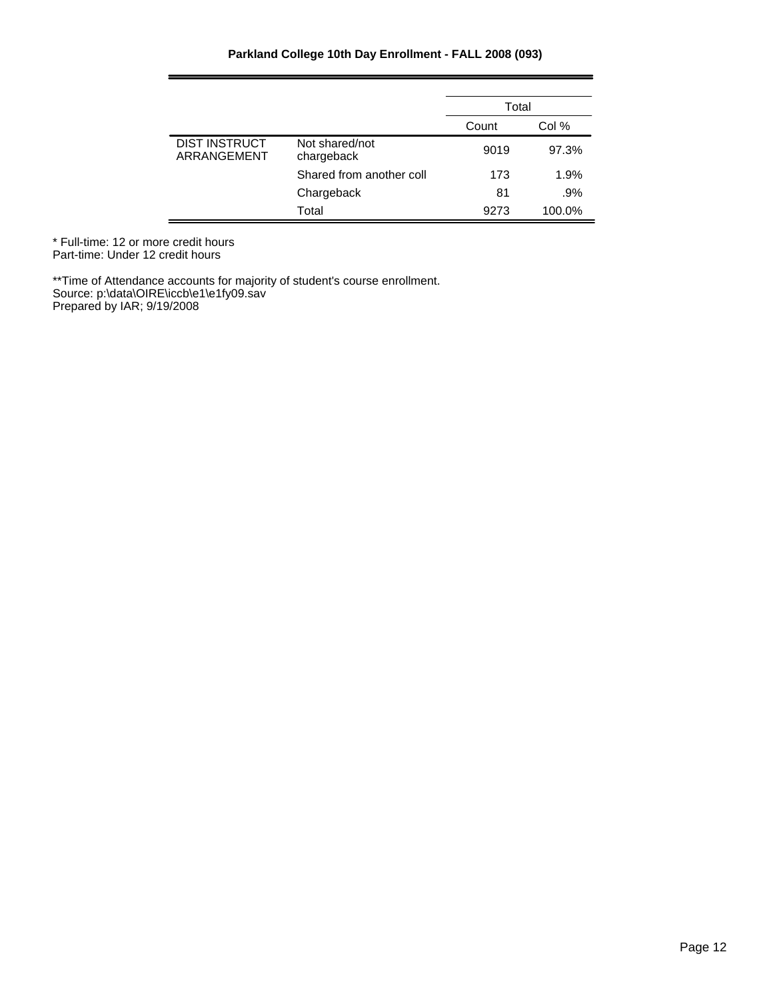|                                     |                              | Total |        |  |
|-------------------------------------|------------------------------|-------|--------|--|
|                                     |                              | Count | Col %  |  |
| <b>DIST INSTRUCT</b><br>ARRANGEMENT | Not shared/not<br>chargeback | 9019  | 97.3%  |  |
|                                     | Shared from another coll     | 173   | 1.9%   |  |
|                                     | Chargeback                   | 81    | .9%    |  |
|                                     | Total                        | 9273  | 100.0% |  |

\* Full-time: 12 or more credit hours Part-time: Under 12 credit hours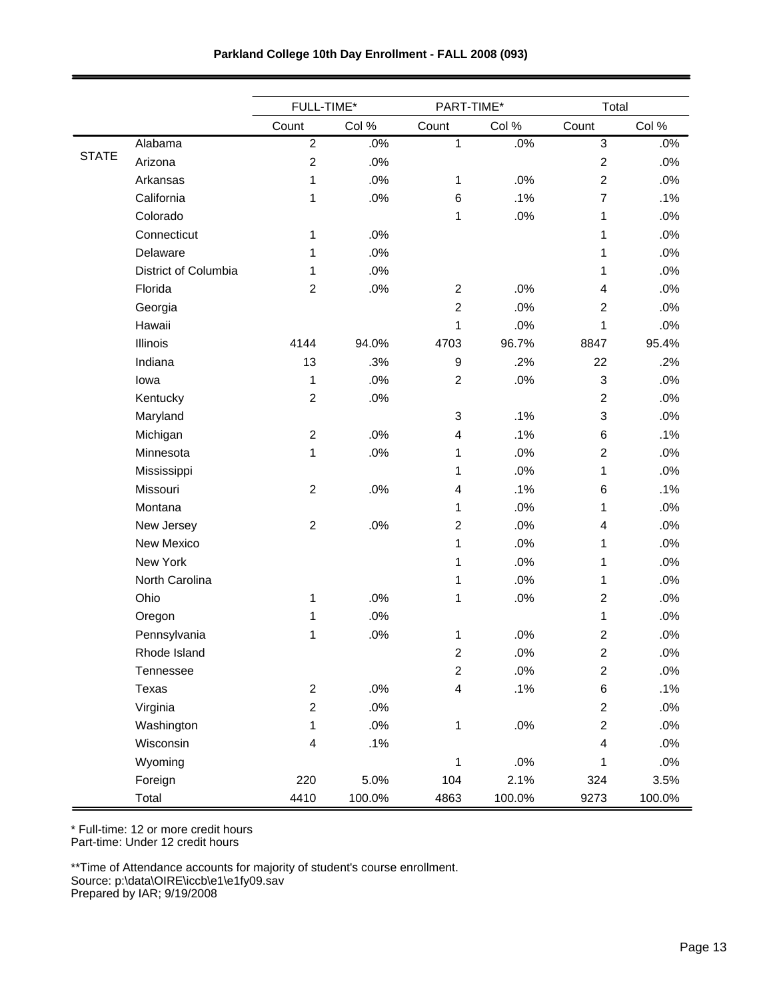|              |                      | FULL-TIME*     |        | PART-TIME*       |        | Total                   |        |
|--------------|----------------------|----------------|--------|------------------|--------|-------------------------|--------|
|              |                      | Count          | Col %  | Count            | Col %  | Count                   | Col %  |
|              | Alabama              | $\overline{2}$ | .0%    | $\mathbf{1}$     | .0%    | $\mathfrak{S}$          | .0%    |
| <b>STATE</b> | Arizona              | $\overline{2}$ | .0%    |                  |        | $\overline{c}$          | .0%    |
|              | Arkansas             | 1              | .0%    | 1                | .0%    | $\overline{c}$          | .0%    |
|              | California           | 1              | .0%    | 6                | .1%    | $\overline{7}$          | .1%    |
|              | Colorado             |                |        | 1                | .0%    | 1                       | .0%    |
|              | Connecticut          | 1              | .0%    |                  |        | 1                       | .0%    |
|              | Delaware             | 1              | .0%    |                  |        | 1                       | .0%    |
|              | District of Columbia | 1              | .0%    |                  |        | 1                       | .0%    |
|              | Florida              | $\overline{c}$ | .0%    | $\boldsymbol{2}$ | .0%    | 4                       | .0%    |
|              | Georgia              |                |        | $\overline{c}$   | .0%    | 2                       | .0%    |
|              | Hawaii               |                |        | 1                | .0%    | 1                       | .0%    |
|              | Illinois             | 4144           | 94.0%  | 4703             | 96.7%  | 8847                    | 95.4%  |
|              | Indiana              | 13             | .3%    | $\boldsymbol{9}$ | .2%    | 22                      | .2%    |
|              | lowa                 | 1              | .0%    | $\overline{2}$   | .0%    | 3                       | .0%    |
|              | Kentucky             | $\overline{2}$ | .0%    |                  |        | $\overline{2}$          | .0%    |
|              | Maryland             |                |        | $\mathsf 3$      | .1%    | 3                       | .0%    |
|              | Michigan             | $\overline{c}$ | .0%    | 4                | .1%    | 6                       | .1%    |
|              | Minnesota            | 1              | .0%    | 1                | .0%    | $\overline{c}$          | .0%    |
|              | Mississippi          |                |        | 1                | .0%    | 1                       | .0%    |
|              | Missouri             | $\overline{2}$ | .0%    | 4                | .1%    | 6                       | .1%    |
|              | Montana              |                |        | 1                | .0%    | 1                       | .0%    |
|              | New Jersey           | $\overline{c}$ | .0%    | $\boldsymbol{2}$ | .0%    | 4                       | .0%    |
|              | New Mexico           |                |        | $\mathbf 1$      | .0%    | 1                       | .0%    |
|              | New York             |                |        | 1                | .0%    | 1                       | .0%    |
|              | North Carolina       |                |        | 1                | .0%    | 1                       | .0%    |
|              | Ohio                 | 1              | .0%    | 1                | .0%    | $\overline{c}$          | .0%    |
|              | Oregon               | 1              | .0%    |                  |        | 1                       | .0%    |
|              | Pennsylvania         | 1              | .0%    | 1                | .0%    | $\mathbf 2$             | .0%    |
|              | Rhode Island         |                |        | 2                | .0%    | $\overline{\mathbf{c}}$ | .0%    |
|              | Tennessee            |                |        | $\overline{2}$   | .0%    | $\overline{\mathbf{c}}$ | .0%    |
|              | Texas                | $\overline{c}$ | .0%    | 4                | .1%    | 6                       | .1%    |
|              | Virginia             | $\overline{c}$ | $.0\%$ |                  |        | $\overline{c}$          | $.0\%$ |
|              | Washington           | 1              | $.0\%$ | 1                | .0%    | $\overline{c}$          | .0%    |
|              | Wisconsin            | 4              | .1%    |                  |        | $\overline{\mathbf{4}}$ | $.0\%$ |
|              | Wyoming              |                |        | $\mathbf 1$      | .0%    | 1                       | .0%    |
|              | Foreign              | 220            | 5.0%   | 104              | 2.1%   | 324                     | 3.5%   |
|              | Total                | 4410           | 100.0% | 4863             | 100.0% | 9273                    | 100.0% |

\* Full-time: 12 or more credit hours

Part-time: Under 12 credit hours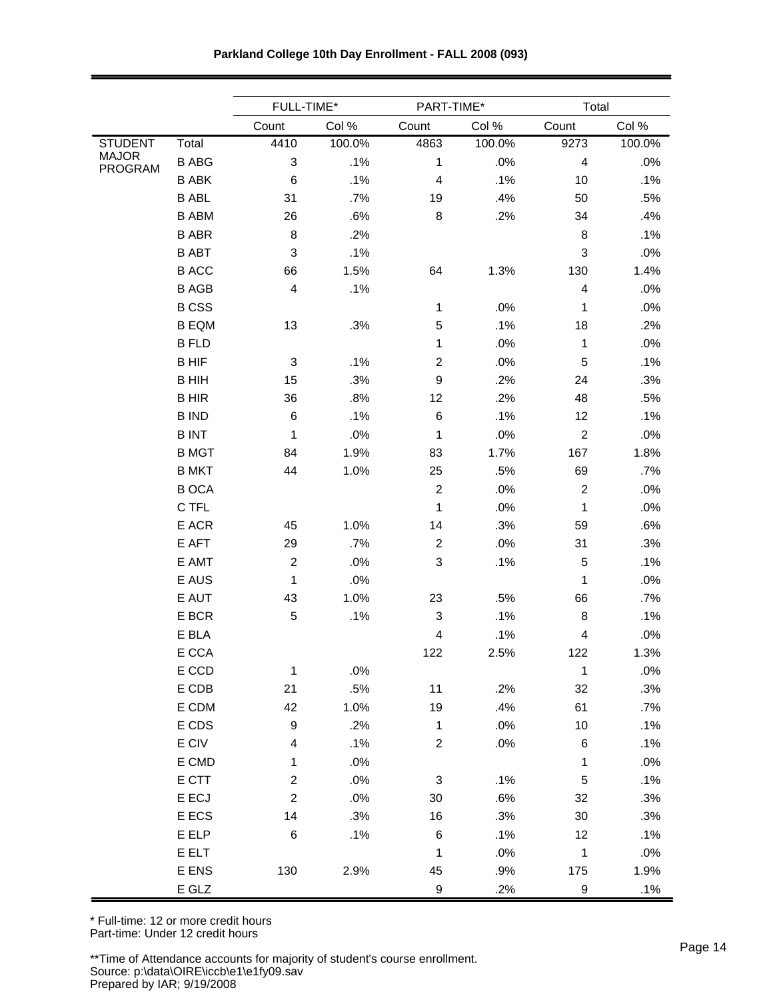|                                |              | FULL-TIME*              |        | PART-TIME*                |        | Total                   |        |
|--------------------------------|--------------|-------------------------|--------|---------------------------|--------|-------------------------|--------|
|                                |              | Count                   | Col %  | Count                     | Col %  | Count                   | Col %  |
| <b>STUDENT</b>                 | Total        | 4410                    | 100.0% | 4863                      | 100.0% | 9273                    | 100.0% |
| <b>MAJOR</b><br><b>PROGRAM</b> | <b>B ABG</b> | 3                       | .1%    | 1                         | .0%    | $\overline{4}$          | .0%    |
|                                | <b>B ABK</b> | 6                       | .1%    | 4                         | .1%    | 10                      | .1%    |
|                                | <b>B ABL</b> | 31                      | .7%    | 19                        | .4%    | 50                      | .5%    |
|                                | <b>B ABM</b> | 26                      | .6%    | 8                         | .2%    | 34                      | .4%    |
|                                | <b>B ABR</b> | 8                       | .2%    |                           |        | 8                       | .1%    |
|                                | <b>B ABT</b> | 3                       | .1%    |                           |        | $\mathfrak{B}$          | .0%    |
|                                | <b>BACC</b>  | 66                      | 1.5%   | 64                        | 1.3%   | 130                     | 1.4%   |
|                                | <b>BAGB</b>  | 4                       | .1%    |                           |        | $\overline{4}$          | .0%    |
|                                | <b>BCSS</b>  |                         |        | 1                         | .0%    | 1                       | .0%    |
|                                | <b>B EQM</b> | 13                      | .3%    | 5                         | .1%    | 18                      | .2%    |
|                                | <b>B FLD</b> |                         |        | 1                         | .0%    | 1                       | .0%    |
|                                | <b>BHIF</b>  | 3                       | .1%    | $\overline{c}$            | .0%    | 5                       | .1%    |
|                                | <b>BHIH</b>  | 15                      | .3%    | $\boldsymbol{9}$          | .2%    | 24                      | .3%    |
|                                | <b>BHIR</b>  | 36                      | .8%    | 12                        | .2%    | 48                      | .5%    |
|                                | <b>BIND</b>  | 6                       | .1%    | 6                         | .1%    | 12                      | .1%    |
|                                | <b>BINT</b>  | 1                       | .0%    | 1                         | .0%    | $\overline{2}$          | .0%    |
|                                | <b>B MGT</b> | 84                      | 1.9%   | 83                        | 1.7%   | 167                     | 1.8%   |
|                                | <b>B MKT</b> | 44                      | 1.0%   | 25                        | .5%    | 69                      | .7%    |
|                                | <b>BOCA</b>  |                         |        | $\overline{2}$            | .0%    | $\overline{2}$          | .0%    |
|                                | C TFL        |                         |        | 1                         | .0%    | 1                       | .0%    |
|                                | E ACR        | 45                      | 1.0%   | 14                        | .3%    | 59                      | .6%    |
|                                | E AFT        | 29                      | .7%    | $\overline{2}$            | .0%    | 31                      | .3%    |
|                                | E AMT        | $\boldsymbol{2}$        | .0%    | 3                         | .1%    | 5                       | .1%    |
|                                | E AUS        | 1                       | .0%    |                           |        | 1                       | .0%    |
|                                | E AUT        | 43                      | 1.0%   | 23                        | .5%    | 66                      | .7%    |
|                                | E BCR        | 5                       | .1%    | 3                         | .1%    | 8                       | .1%    |
|                                | E BLA        |                         |        | 4                         | .1%    | $\overline{\mathbf{4}}$ | .0%    |
|                                | E CCA        |                         |        | 122                       | 2.5%   | 122                     | 1.3%   |
|                                | E CCD        | 1                       | .0%    |                           |        | $\mathbf{1}$            | .0%    |
|                                | E CDB        | 21                      | .5%    | 11                        | .2%    | 32                      | .3%    |
|                                | E CDM        | 42                      | 1.0%   | 19                        | .4%    | 61                      | .7%    |
|                                | E CDS        | 9                       | .2%    | $\mathbf 1$               | .0%    | 10                      | .1%    |
|                                | E CIV        | 4                       | .1%    | $\overline{c}$            | .0%    | 6                       | .1%    |
|                                | E CMD        | 1                       | .0%    |                           |        | 1                       | .0%    |
|                                | E CTT        | $\overline{\mathbf{c}}$ | .0%    | $\ensuremath{\mathsf{3}}$ | .1%    | $\sqrt{5}$              | .1%    |
|                                | E ECJ        | $\overline{c}$          | .0%    | $30\,$                    | .6%    | 32                      | .3%    |
|                                | E ECS        | 14                      | .3%    | 16                        | .3%    | 30                      | .3%    |
|                                | E ELP        | $\,6$                   | .1%    | $\,6$                     | .1%    | 12                      | .1%    |
|                                | E ELT        |                         |        | $\mathbf 1$               | .0%    | $\mathbf 1$             | .0%    |
|                                | E ENS        | 130                     | 2.9%   | 45                        | .9%    | 175                     | 1.9%   |
|                                | E GLZ        |                         |        | $\boldsymbol{9}$          | .2%    | 9                       | .1%    |

**Parkland College 10th Day Enrollment - FALL 2008 (093)**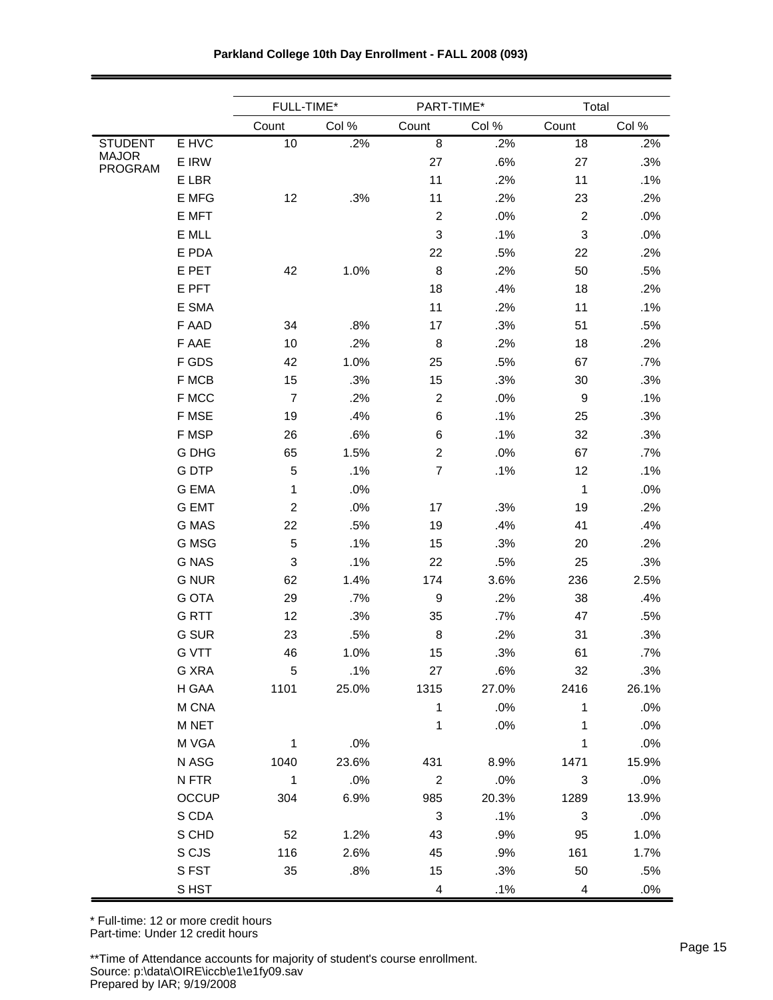|                |              |                           | FULL-TIME*<br>PART-TIME* |                          |       | Total            |       |
|----------------|--------------|---------------------------|--------------------------|--------------------------|-------|------------------|-------|
|                |              | Count                     | Col %                    | Count                    | Col % | Count            | Col % |
| <b>STUDENT</b> | E HVC        | 10                        | .2%                      | 8                        | .2%   | 18               | .2%   |
| <b>MAJOR</b>   | E IRW        |                           |                          | 27                       | .6%   | 27               | .3%   |
| <b>PROGRAM</b> | E LBR        |                           |                          | 11                       | .2%   | 11               | .1%   |
|                | E MFG        | 12                        | .3%                      | 11                       | .2%   | 23               | .2%   |
|                | E MFT        |                           |                          | $\boldsymbol{2}$         | .0%   | $\overline{2}$   | .0%   |
|                | E MLL        |                           |                          | 3                        | .1%   | 3                | .0%   |
|                | E PDA        |                           |                          | 22                       | .5%   | 22               | .2%   |
|                | E PET        | 42                        | 1.0%                     | 8                        | .2%   | 50               | .5%   |
|                | E PFT        |                           |                          | 18                       | .4%   | 18               | .2%   |
|                | E SMA        |                           |                          | 11                       | .2%   | 11               | .1%   |
|                | F AAD        | 34                        | .8%                      | 17                       | .3%   | 51               | .5%   |
|                | F AAE        | 10                        | .2%                      | 8                        | .2%   | 18               | .2%   |
|                | F GDS        | 42                        | 1.0%                     | 25                       | .5%   | 67               | .7%   |
|                | F MCB        | 15                        | .3%                      | 15                       | .3%   | 30               | .3%   |
|                | F MCC        | $\overline{7}$            | .2%                      | $\boldsymbol{2}$         | .0%   | $\boldsymbol{9}$ | .1%   |
|                | F MSE        | 19                        | .4%                      | 6                        | .1%   | 25               | .3%   |
|                | F MSP        | 26                        | .6%                      | 6                        | .1%   | 32               | .3%   |
|                | <b>G DHG</b> | 65                        | 1.5%                     | $\boldsymbol{2}$         | .0%   | 67               | .7%   |
|                | <b>GDTP</b>  | 5                         | .1%                      | $\overline{7}$           | .1%   | 12               | .1%   |
|                | <b>G EMA</b> | 1                         | .0%                      |                          |       | 1                | .0%   |
|                | <b>G EMT</b> | $\boldsymbol{2}$          | .0%                      | 17                       | .3%   | 19               | .2%   |
|                | G MAS        | 22                        | .5%                      | 19                       | .4%   | 41               | .4%   |
|                | G MSG        | 5                         | .1%                      | 15                       | .3%   | 20               | .2%   |
|                | <b>G NAS</b> | $\ensuremath{\mathsf{3}}$ | .1%                      | 22                       | .5%   | 25               | .3%   |
|                | <b>G NUR</b> | 62                        | 1.4%                     | 174                      | 3.6%  | 236              | 2.5%  |
|                | <b>G OTA</b> | 29                        | .7%                      | $\boldsymbol{9}$         | .2%   | 38               | .4%   |
|                | <b>GRTT</b>  | 12                        | .3%                      | 35                       | .7%   | 47               | .5%   |
|                | G SUR        | 23                        | .5%                      | 8                        | .2%   | 31               | .3%   |
|                | <b>G VTT</b> | 46                        | 1.0%                     | 15                       | .3%   | 61               | .7%   |
|                | G XRA        | 5                         | .1%                      | 27                       | .6%   | 32               | .3%   |
|                | H GAA        | 1101                      | 25.0%                    | 1315                     | 27.0% | 2416             | 26.1% |
|                | M CNA        |                           |                          | $\mathbf{1}$             | .0%   | 1                | .0%   |
|                | M NET        |                           |                          | 1                        | .0%   | 1                | .0%   |
|                | M VGA        | $\mathbf{1}$              | $.0\%$                   |                          |       | $\mathbf 1$      | .0%   |
|                | N ASG        | 1040                      | 23.6%                    | 431                      | 8.9%  | 1471             | 15.9% |
|                | N FTR        | $\mathbf{1}$              | .0%                      | $\overline{2}$           | .0%   | $\sqrt{3}$       | .0%   |
|                | <b>OCCUP</b> | 304                       | 6.9%                     | 985                      | 20.3% | 1289             | 13.9% |
|                | S CDA        |                           |                          | 3                        | .1%   | 3                | .0%   |
|                | S CHD        | 52                        | 1.2%                     | 43                       | .9%   | 95               | 1.0%  |
|                | S CJS        | 116                       | 2.6%                     | 45                       | .9%   | 161              | 1.7%  |
|                | S FST        | 35                        | .8%                      | 15                       | .3%   | 50               | .5%   |
|                | S HST        |                           |                          | $\overline{\mathcal{A}}$ | .1%   | $\overline{4}$   | .0%   |

**Parkland College 10th Day Enrollment - FALL 2008 (093)**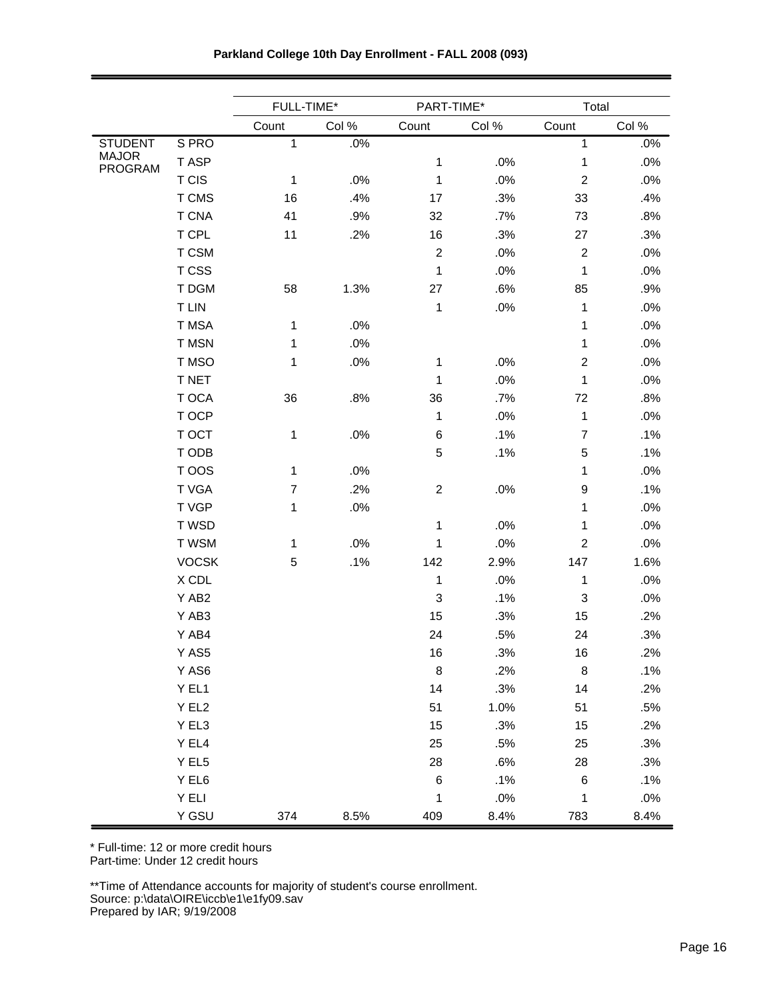|                         |              | FULL-TIME*     |       | PART-TIME*     |       | Total          |       |
|-------------------------|--------------|----------------|-------|----------------|-------|----------------|-------|
|                         |              | Count          | Col % | Count          | Col % | Count          | Col % |
| <b>STUDENT</b>          | S PRO        | 1              | .0%   |                |       | $\mathbf{1}$   | .0%   |
| <b>MAJOR</b><br>PROGRAM | T ASP        |                |       | $\mathbf 1$    | .0%   | 1              | .0%   |
|                         | <b>T CIS</b> | 1              | .0%   | 1              | .0%   | $\overline{c}$ | .0%   |
|                         | T CMS        | 16             | .4%   | 17             | .3%   | 33             | .4%   |
|                         | <b>T CNA</b> | 41             | .9%   | 32             | .7%   | 73             | .8%   |
|                         | T CPL        | 11             | .2%   | 16             | .3%   | 27             | .3%   |
|                         | T CSM        |                |       | $\overline{c}$ | .0%   | $\overline{c}$ | .0%   |
|                         | T CSS        |                |       | $\mathbf{1}$   | .0%   | $\mathbf 1$    | .0%   |
|                         | T DGM        | 58             | 1.3%  | 27             | .6%   | 85             | .9%   |
|                         | <b>TLIN</b>  |                |       | 1              | .0%   | 1              | .0%   |
|                         | T MSA        | 1              | .0%   |                |       | 1              | .0%   |
|                         | T MSN        | 1              | .0%   |                |       | 1              | .0%   |
|                         | T MSO        | $\mathbf{1}$   | .0%   | 1              | .0%   | $\overline{c}$ | .0%   |
|                         | T NET        |                |       | 1              | .0%   | 1              | .0%   |
|                         | T OCA        | 36             | .8%   | 36             | .7%   | 72             | .8%   |
|                         | T OCP        |                |       | 1              | .0%   | 1              | .0%   |
|                         | T OCT        | 1              | .0%   | 6              | .1%   | $\overline{7}$ | .1%   |
|                         | T ODB        |                |       | 5              | .1%   | 5              | .1%   |
|                         | T OOS        | 1              | .0%   |                |       | 1              | .0%   |
|                         | T VGA        | $\overline{7}$ | .2%   | $\overline{c}$ | .0%   | 9              | .1%   |
|                         | T VGP        | 1              | .0%   |                |       | 1              | .0%   |
|                         | T WSD        |                |       | $\mathbf 1$    | .0%   | 1              | .0%   |
|                         | T WSM        | $\mathbf{1}$   | .0%   | 1              | .0%   | $\overline{c}$ | .0%   |
|                         | <b>VOCSK</b> | 5              | .1%   | 142            | 2.9%  | 147            | 1.6%  |
|                         | X CDL        |                |       | 1              | .0%   | 1              | .0%   |
|                         | Y AB2        |                |       | 3              | .1%   | 3              | .0%   |
|                         | Y AB3        |                |       | 15             | .3%   | 15             | .2%   |
|                         | Y AB4        |                |       | 24             | .5%   | 24             | .3%   |
|                         | $Y$ AS5      |                |       | 16             | .3%   | 16             | .2%   |
|                         | Y AS6        |                |       | 8              | .2%   | 8              | .1%   |
|                         | Y EL1        |                |       | 14             | .3%   | 14             | .2%   |
|                         | Y EL2        |                |       | 51             | 1.0%  | 51             | .5%   |
|                         | Y EL3        |                |       | 15             | .3%   | 15             | .2%   |
|                         | Y EL4        |                |       | 25             | .5%   | 25             | .3%   |
|                         | Y EL5        |                |       | 28             | .6%   | 28             | .3%   |
|                         | Y EL6        |                |       | $\,6$          | .1%   | 6              | .1%   |
|                         | Y ELI        |                |       | $\mathbf 1$    | .0%   | $\mathbf 1$    | .0%   |
|                         | Y GSU        | 374            | 8.5%  | 409            | 8.4%  | 783            | 8.4%  |

**Parkland College 10th Day Enrollment - FALL 2008 (093)**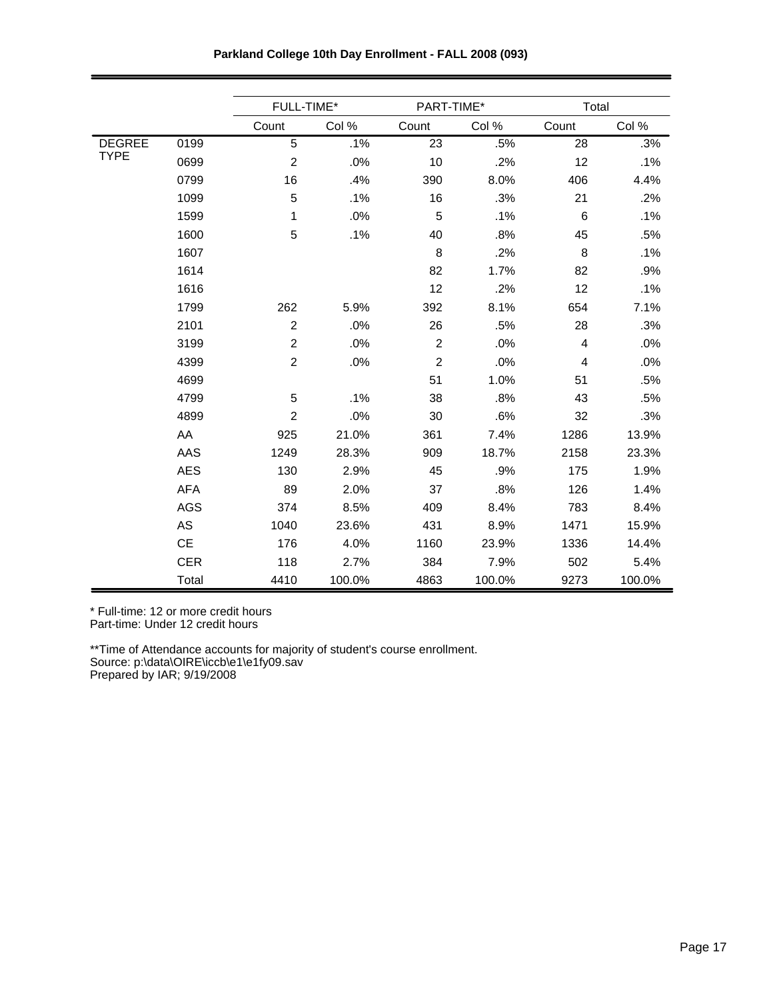|               |            | FULL-TIME*     |        | PART-TIME*     |        | Total          |        |
|---------------|------------|----------------|--------|----------------|--------|----------------|--------|
|               |            | Count          | Col %  | Count          | Col %  | Count          | Col %  |
| <b>DEGREE</b> | 0199       | $\overline{5}$ | .1%    | 23             | .5%    | 28             | .3%    |
| <b>TYPE</b>   | 0699       | $\overline{2}$ | .0%    | 10             | .2%    | 12             | .1%    |
|               | 0799       | 16             | .4%    | 390            | 8.0%   | 406            | 4.4%   |
|               | 1099       | 5              | .1%    | 16             | .3%    | 21             | .2%    |
|               | 1599       | 1              | .0%    | 5              | .1%    | 6              | .1%    |
|               | 1600       | 5              | .1%    | 40             | .8%    | 45             | .5%    |
|               | 1607       |                |        | 8              | .2%    | 8              | .1%    |
|               | 1614       |                |        | 82             | 1.7%   | 82             | .9%    |
|               | 1616       |                |        | 12             | .2%    | 12             | .1%    |
|               | 1799       | 262            | 5.9%   | 392            | 8.1%   | 654            | 7.1%   |
|               | 2101       | $\overline{2}$ | .0%    | 26             | .5%    | 28             | .3%    |
|               | 3199       | $\overline{c}$ | .0%    | $\overline{c}$ | .0%    | $\overline{4}$ | .0%    |
|               | 4399       | $\overline{c}$ | .0%    | $\overline{2}$ | .0%    | 4              | .0%    |
|               | 4699       |                |        | 51             | 1.0%   | 51             | .5%    |
|               | 4799       | 5              | .1%    | 38             | .8%    | 43             | .5%    |
|               | 4899       | $\overline{c}$ | .0%    | 30             | .6%    | 32             | .3%    |
|               | AA         | 925            | 21.0%  | 361            | 7.4%   | 1286           | 13.9%  |
|               | AAS        | 1249           | 28.3%  | 909            | 18.7%  | 2158           | 23.3%  |
|               | AES        | 130            | 2.9%   | 45             | .9%    | 175            | 1.9%   |
|               | <b>AFA</b> | 89             | 2.0%   | 37             | .8%    | 126            | 1.4%   |
|               | <b>AGS</b> | 374            | 8.5%   | 409            | 8.4%   | 783            | 8.4%   |
|               | AS         | 1040           | 23.6%  | 431            | 8.9%   | 1471           | 15.9%  |
|               | CE         | 176            | 4.0%   | 1160           | 23.9%  | 1336           | 14.4%  |
|               | <b>CER</b> | 118            | 2.7%   | 384            | 7.9%   | 502            | 5.4%   |
|               | Total      | 4410           | 100.0% | 4863           | 100.0% | 9273           | 100.0% |

**Parkland College 10th Day Enrollment - FALL 2008 (093)**

\* Full-time: 12 or more credit hours

Part-time: Under 12 credit hours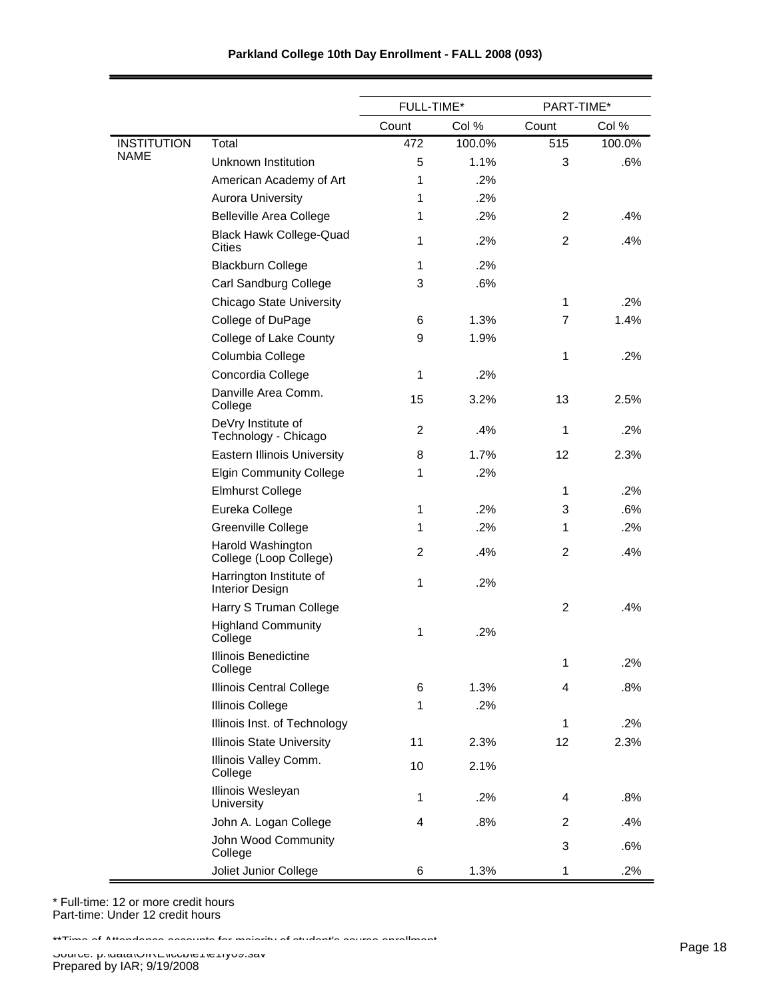|                    |                                                   | FULL-TIME*     |        | PART-TIME* |        |
|--------------------|---------------------------------------------------|----------------|--------|------------|--------|
|                    |                                                   | Count          | Col %  | Count      | Col %  |
| <b>INSTITUTION</b> | Total                                             | 472            | 100.0% | 515        | 100.0% |
| <b>NAME</b>        | Unknown Institution                               | 5              | 1.1%   | 3          | .6%    |
|                    | American Academy of Art                           | 1              | .2%    |            |        |
|                    | <b>Aurora University</b>                          | 1              | .2%    |            |        |
|                    | <b>Belleville Area College</b>                    | 1              | .2%    | 2          | .4%    |
|                    | <b>Black Hawk College-Quad</b><br><b>Cities</b>   | 1              | .2%    | 2          | .4%    |
|                    | <b>Blackburn College</b>                          | 1              | .2%    |            |        |
|                    | Carl Sandburg College                             | 3              | .6%    |            |        |
|                    | <b>Chicago State University</b>                   |                |        | 1          | .2%    |
|                    | College of DuPage                                 | 6              | 1.3%   | 7          | 1.4%   |
|                    | College of Lake County                            | 9              | 1.9%   |            |        |
|                    | Columbia College                                  |                |        | 1          | .2%    |
|                    | Concordia College                                 | 1              | .2%    |            |        |
|                    | Danville Area Comm.<br>College                    | 15             | 3.2%   | 13         | 2.5%   |
|                    | DeVry Institute of<br>Technology - Chicago        | 2              | .4%    | 1          | .2%    |
|                    | <b>Eastern Illinois University</b>                | 8              | 1.7%   | 12         | 2.3%   |
|                    | <b>Elgin Community College</b>                    | 1              | .2%    |            |        |
|                    | <b>Elmhurst College</b>                           |                |        | 1          | .2%    |
|                    | Eureka College                                    | 1              | .2%    | 3          | .6%    |
|                    | Greenville College                                | 1              | .2%    | 1          | .2%    |
|                    | Harold Washington<br>College (Loop College)       | $\overline{2}$ | .4%    | 2          | .4%    |
|                    | Harrington Institute of<br><b>Interior Design</b> | 1              | .2%    |            |        |
|                    | Harry S Truman College                            |                |        | 2          | .4%    |
|                    | <b>Highland Community</b><br>College              | 1              | .2%    |            |        |
|                    | Illinois Benedictine<br>College                   |                |        | 1          | .2%    |
|                    | <b>Illinois Central College</b>                   | 6              | 1.3%   | 4          | .8%    |
|                    | <b>Illinois College</b>                           | 1              | .2%    |            |        |
|                    | Illinois Inst. of Technology                      |                |        | 1          | .2%    |
|                    | <b>Illinois State University</b>                  | 11             | 2.3%   | 12         | 2.3%   |
|                    | Illinois Valley Comm.<br>College                  | 10             | 2.1%   |            |        |
|                    | Illinois Wesleyan<br>University                   | 1              | .2%    | 4          | .8%    |
|                    | John A. Logan College                             | 4              | .8%    | 2          | .4%    |
|                    | John Wood Community<br>College                    |                |        | 3          | .6%    |
|                    | Joliet Junior College                             | 6              | 1.3%   | 1          | .2%    |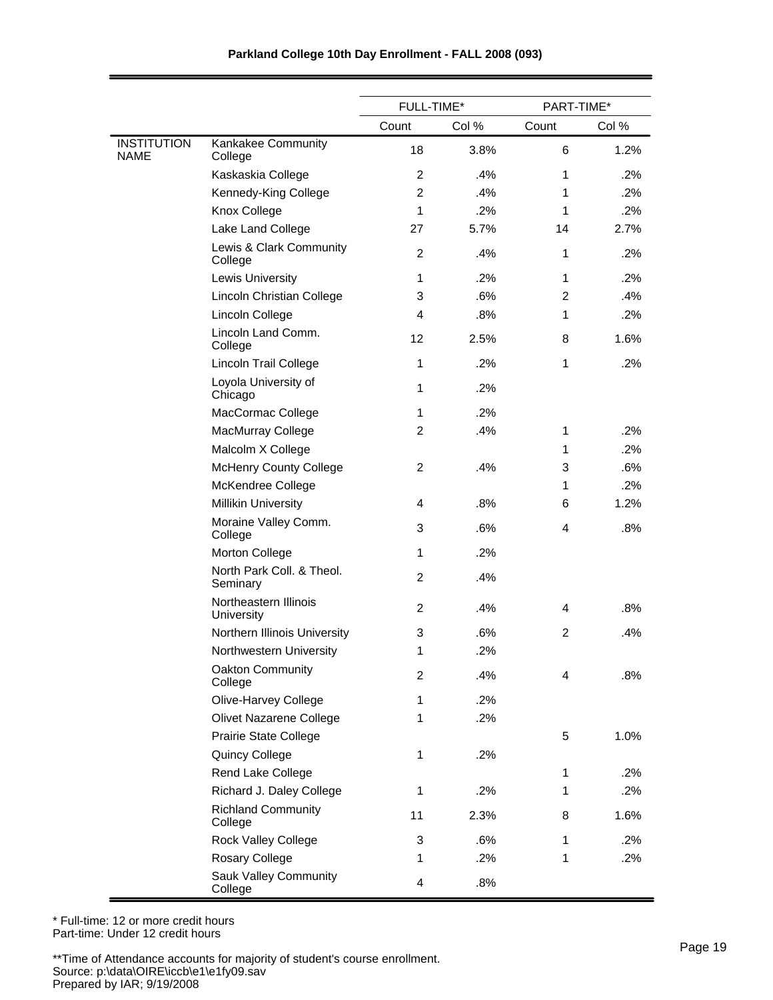|                            |                                         | FULL-TIME*     |       | PART-TIME*     |       |
|----------------------------|-----------------------------------------|----------------|-------|----------------|-------|
|                            |                                         | Count          | Col % | Count          | Col % |
| <b>INSTITUTION</b><br>NAME | Kankakee Community<br>College           | 18             | 3.8%  | 6              | 1.2%  |
|                            | Kaskaskia College                       | $\overline{2}$ | .4%   | 1              | .2%   |
|                            | Kennedy-King College                    | $\overline{2}$ | .4%   | 1              | .2%   |
|                            | Knox College                            | $\mathbf 1$    | .2%   | 1              | .2%   |
|                            | Lake Land College                       | 27             | 5.7%  | 14             | 2.7%  |
|                            | Lewis & Clark Community<br>College      | $\overline{2}$ | .4%   | 1              | .2%   |
|                            | <b>Lewis University</b>                 | 1              | .2%   | 1              | .2%   |
|                            | Lincoln Christian College               | 3              | .6%   | $\overline{2}$ | .4%   |
|                            | Lincoln College                         | 4              | .8%   | 1              | .2%   |
|                            | Lincoln Land Comm.<br>College           | 12             | 2.5%  | 8              | 1.6%  |
|                            | Lincoln Trail College                   | 1              | .2%   | 1              | .2%   |
|                            | Loyola University of<br>Chicago         | 1              | .2%   |                |       |
|                            | MacCormac College                       | $\mathbf{1}$   | .2%   |                |       |
|                            | MacMurray College                       | 2              | .4%   | 1              | .2%   |
|                            | Malcolm X College                       |                |       | 1              | .2%   |
|                            | <b>McHenry County College</b>           | $\overline{c}$ | .4%   | 3              | .6%   |
|                            | McKendree College                       |                |       | 1              | .2%   |
|                            | <b>Millikin University</b>              | 4              | .8%   | 6              | 1.2%  |
|                            | Moraine Valley Comm.<br>College         | 3              | .6%   | 4              | .8%   |
|                            | Morton College                          | 1              | .2%   |                |       |
|                            | North Park Coll. & Theol.<br>Seminary   | 2              | .4%   |                |       |
|                            | Northeastern Illinois<br>University     | $\overline{2}$ | .4%   | 4              | .8%   |
|                            | Northern Illinois University            | 3              | .6%   | 2              | .4%   |
|                            | Northwestern University                 | 1              | .2%   |                |       |
|                            | Oakton Community<br>College             | $\overline{c}$ | .4%   | 4              | .8%   |
|                            | Olive-Harvey College                    | $\mathbf{1}$   | .2%   |                |       |
|                            | <b>Olivet Nazarene College</b>          | $\mathbf{1}$   | .2%   |                |       |
|                            | Prairie State College                   |                |       | 5              | 1.0%  |
|                            | Quincy College                          | 1              | .2%   |                |       |
|                            | Rend Lake College                       |                |       | 1              | .2%   |
|                            | Richard J. Daley College                | 1              | .2%   | 1              | .2%   |
|                            | <b>Richland Community</b><br>College    | 11             | 2.3%  | 8              | 1.6%  |
|                            | Rock Valley College                     | 3              | .6%   | 1              | .2%   |
|                            | Rosary College                          | $\mathbf{1}$   | .2%   | 1              | .2%   |
|                            | <b>Sauk Valley Community</b><br>College | 4              | .8%   |                |       |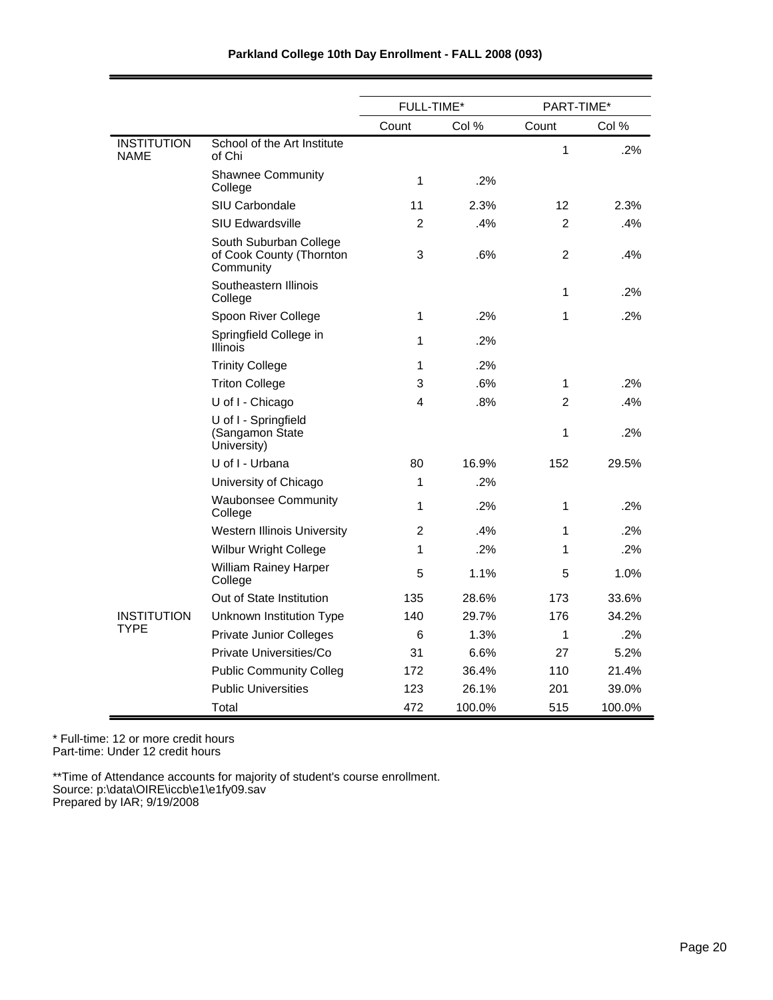|                                   |                                                                 | <b>FULL-TIME*</b> |        | PART-TIME*     |        |
|-----------------------------------|-----------------------------------------------------------------|-------------------|--------|----------------|--------|
|                                   |                                                                 | Count             | Col %  | Count          | Col %  |
| <b>INSTITUTION</b><br><b>NAME</b> | School of the Art Institute<br>of Chi                           |                   |        | 1              | .2%    |
|                                   | <b>Shawnee Community</b><br>College                             | 1                 | .2%    |                |        |
|                                   | <b>SIU Carbondale</b>                                           | 11                | 2.3%   | 12             | 2.3%   |
|                                   | <b>SIU Edwardsville</b>                                         | 2                 | .4%    | $\overline{2}$ | .4%    |
|                                   | South Suburban College<br>of Cook County (Thornton<br>Community | 3                 | .6%    | $\overline{2}$ | .4%    |
|                                   | Southeastern Illinois<br>College                                |                   |        | 1              | .2%    |
|                                   | Spoon River College                                             | 1                 | .2%    | 1              | .2%    |
|                                   | Springfield College in<br>Illinois                              | 1                 | .2%    |                |        |
|                                   | <b>Trinity College</b>                                          | 1                 | .2%    |                |        |
|                                   | <b>Triton College</b>                                           | 3                 | .6%    | 1              | .2%    |
|                                   | U of I - Chicago                                                | 4                 | .8%    | $\overline{2}$ | .4%    |
|                                   | U of I - Springfield<br>(Sangamon State<br>University)          |                   |        | 1              | .2%    |
|                                   | U of I - Urbana                                                 | 80                | 16.9%  | 152            | 29.5%  |
|                                   | University of Chicago                                           | 1                 | .2%    |                |        |
|                                   | <b>Waubonsee Community</b><br>College                           | 1                 | .2%    | 1              | .2%    |
|                                   | <b>Western Illinois University</b>                              | 2                 | $.4\%$ | 1              | .2%    |
|                                   | <b>Wilbur Wright College</b>                                    | 1                 | .2%    | 1              | .2%    |
|                                   | William Rainey Harper<br>College                                | 5                 | 1.1%   | 5              | 1.0%   |
|                                   | Out of State Institution                                        | 135               | 28.6%  | 173            | 33.6%  |
| <b>INSTITUTION</b><br>TYPE        | Unknown Institution Type                                        | 140               | 29.7%  | 176            | 34.2%  |
|                                   | <b>Private Junior Colleges</b>                                  | 6                 | 1.3%   | 1              | .2%    |
|                                   | Private Universities/Co                                         | 31                | 6.6%   | 27             | 5.2%   |
|                                   | <b>Public Community Colleg</b>                                  | 172               | 36.4%  | 110            | 21.4%  |
|                                   | <b>Public Universities</b>                                      | 123               | 26.1%  | 201            | 39.0%  |
|                                   | Total                                                           | 472               | 100.0% | 515            | 100.0% |

\* Full-time: 12 or more credit hours Part-time: Under 12 credit hours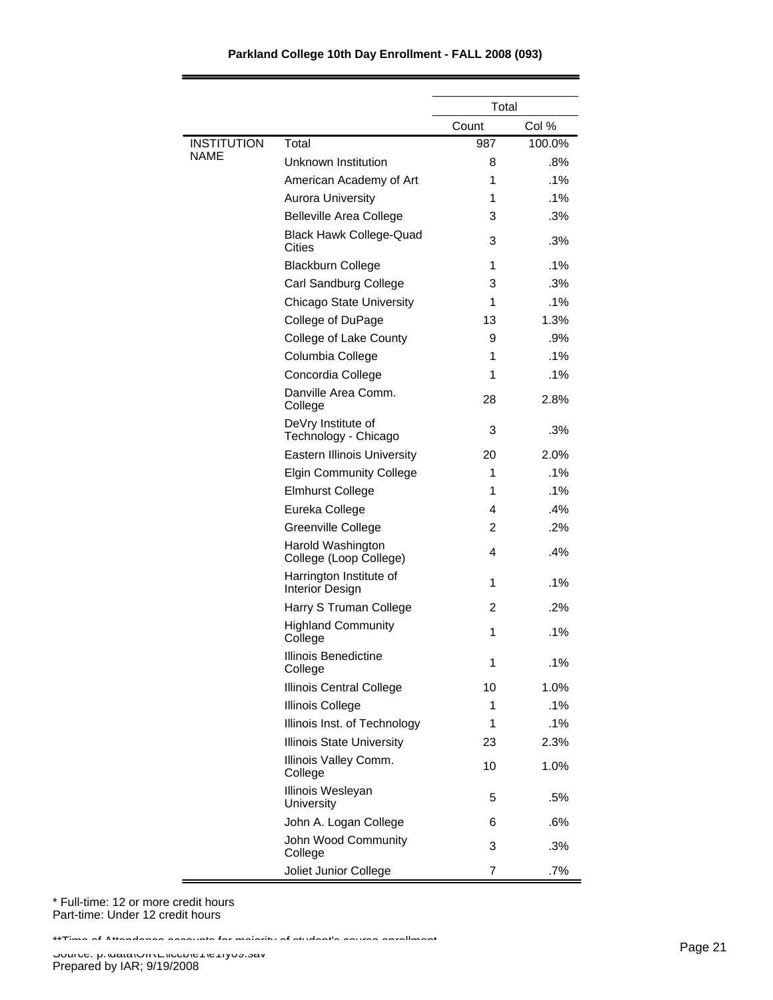|                    |                                                   | Total |        |
|--------------------|---------------------------------------------------|-------|--------|
|                    |                                                   | Count | Col %  |
| <b>INSTITUTION</b> | Total                                             | 987   | 100.0% |
| NAME               | Unknown Institution                               | 8     | .8%    |
|                    | American Academy of Art                           | 1     | $.1\%$ |
|                    | <b>Aurora University</b>                          | 1     | $.1\%$ |
|                    | <b>Belleville Area College</b>                    | 3     | .3%    |
|                    | <b>Black Hawk College-Quad</b><br>Cities          | 3     | .3%    |
|                    | <b>Blackburn College</b>                          | 1     | $.1\%$ |
|                    | Carl Sandburg College                             | 3     | .3%    |
|                    | <b>Chicago State University</b>                   | 1     | $.1\%$ |
|                    | College of DuPage                                 | 13    | 1.3%   |
|                    | College of Lake County                            | 9     | .9%    |
|                    | Columbia College                                  | 1     | $.1\%$ |
|                    | Concordia College                                 | 1     | $.1\%$ |
|                    | Danville Area Comm.<br>College                    | 28    | 2.8%   |
|                    | DeVry Institute of<br>Technology - Chicago        | 3     | .3%    |
|                    | <b>Eastern Illinois University</b>                | 20    | 2.0%   |
|                    | <b>Elgin Community College</b>                    | 1     | $.1\%$ |
|                    | <b>Elmhurst College</b>                           | 1     | $.1\%$ |
|                    | Eureka College                                    | 4     | .4%    |
|                    | Greenville College                                | 2     | .2%    |
|                    | Harold Washington<br>College (Loop College)       | 4     | .4%    |
|                    | Harrington Institute of<br><b>Interior Design</b> | 1     | $.1\%$ |
|                    | Harry S Truman College                            | 2     | .2%    |
|                    | <b>Highland Community</b><br>College              | 1     | .1%    |
|                    | Illinois Benedictine<br>College                   | 1     | .1%    |
|                    | <b>Illinois Central College</b>                   | 10    | 1.0%   |
|                    | <b>Illinois College</b>                           | 1     | .1%    |
|                    | Illinois Inst. of Technology                      | 1     | .1%    |
|                    | <b>Illinois State University</b>                  | 23    | 2.3%   |
|                    | Illinois Valley Comm.<br>College                  | 10    | 1.0%   |
|                    | Illinois Wesleyan<br>University                   | 5     | .5%    |
|                    | John A. Logan College                             | 6     | .6%    |
|                    | John Wood Community<br>College                    | 3     | .3%    |
|                    | Joliet Junior College                             | 7     | .7%    |

\* Full-time: 12 or more credit hours Part-time: Under 12 credit hours

\*\*Time of Attendance accounts for majority of student's course enrollment.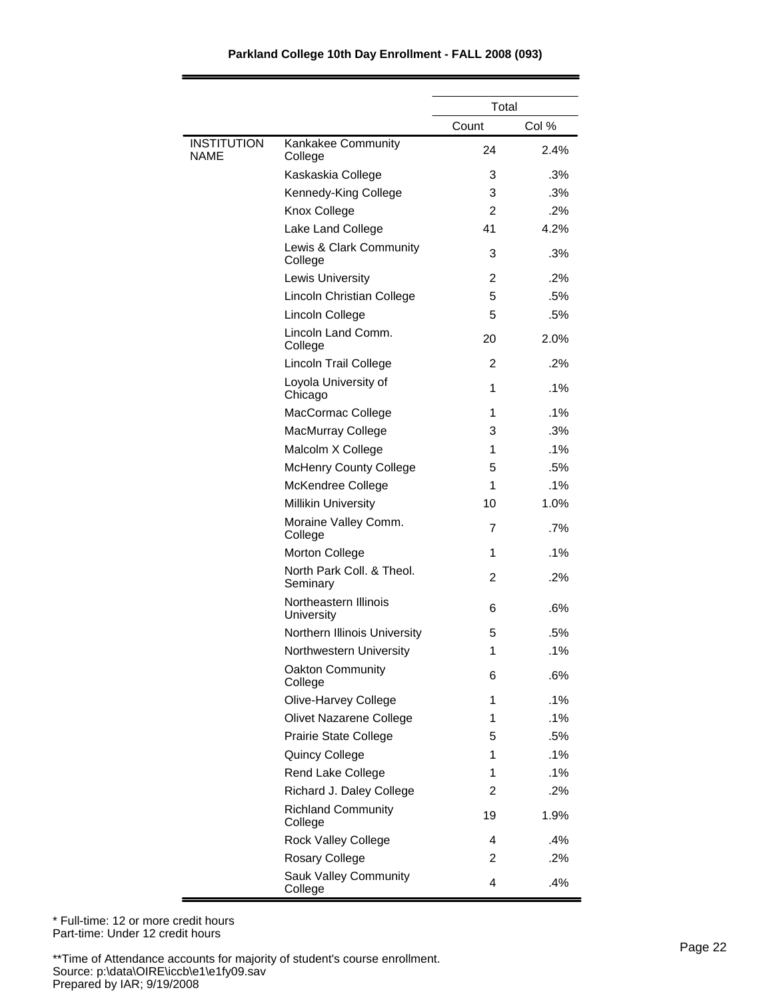#### 24 2.4% 3 .3% 3 .3% 2 .2% 41 4.2% 3 .3% 2 .2% 5 .5% 5 .5% 20 2.0% 2 .2% 1 .1% 1 .1% 3 .3% 1 .1% 5 .5% 1 .1% 10 1.0% 7 .7% 1 .1% 2 .2% 6 .6% 5 .5% 1 .1% 6 .6% 1 .1% 1 .1% 5 .5%  $1^{\frac{1}{6}}$ 1 .1% 2 .2% 19 1.9% 4 .4% 2 .2% 4 .4% Kankakee Community College Kaskaskia College Kennedy-King College Knox College Lake Land College Lewis & Clark Community College Lewis University Lincoln Christian College Lincoln College Lincoln Land Comm. College Lincoln Trail College Loyola University of Chicago MacCormac College MacMurray College Malcolm X College McHenry County College McKendree College Millikin University Moraine Valley Comm. College Morton College North Park Coll. & Theol. Seminary Northeastern Illinois **University** Northern Illinois University Northwestern University Oakton Community College Olive-Harvey College Olivet Nazarene College Prairie State College Quincy College Rend Lake College Richard J. Daley College Richland Community College Rock Valley College Rosary College Sauk Valley Community College INSTITUTION NAME Count Col % Total

#### **Parkland College 10th Day Enrollment - FALL 2008 (093)**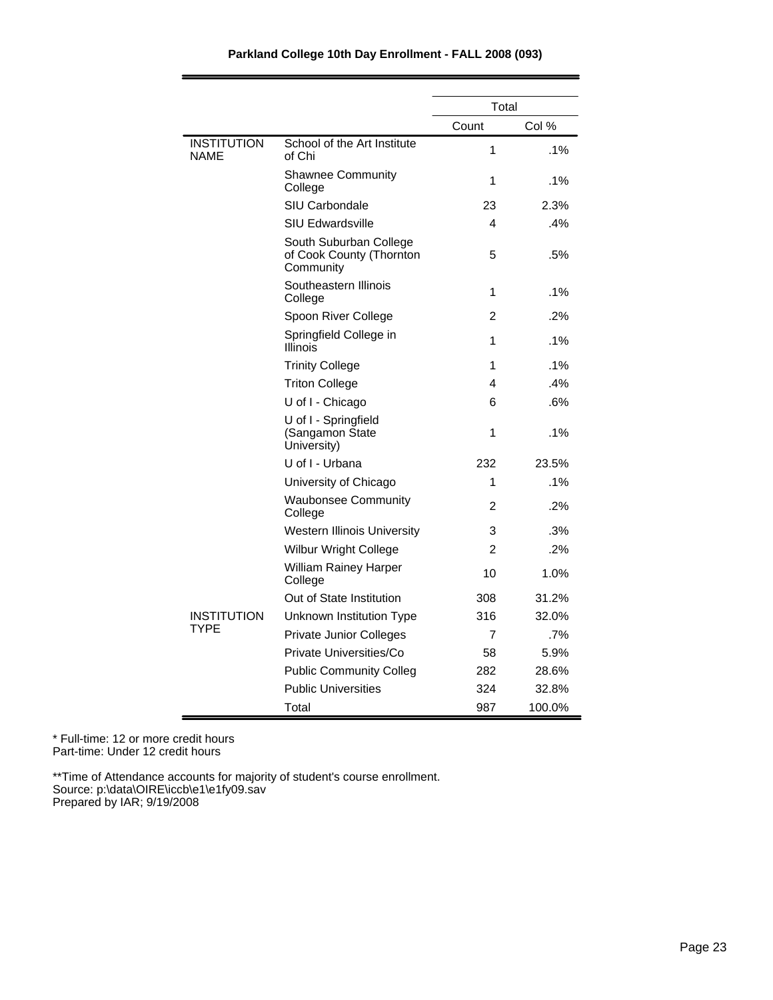| Parkland College 10th Day Enrollment - FALL 2008 (093) |  |  |  |  |  |
|--------------------------------------------------------|--|--|--|--|--|
|--------------------------------------------------------|--|--|--|--|--|

|                                   |                                                                 | Total          |        |
|-----------------------------------|-----------------------------------------------------------------|----------------|--------|
|                                   |                                                                 | Count          | Col %  |
| <b>INSTITUTION</b><br><b>NAME</b> | School of the Art Institute<br>of Chi                           | 1              | .1%    |
|                                   | <b>Shawnee Community</b><br>College                             | 1              | .1%    |
|                                   | <b>SIU Carbondale</b>                                           | 23             | 2.3%   |
|                                   | <b>SIU Edwardsville</b>                                         | 4              | .4%    |
|                                   | South Suburban College<br>of Cook County (Thornton<br>Community | 5              | .5%    |
|                                   | Southeastern Illinois<br>College                                | 1              | .1%    |
|                                   | Spoon River College                                             | $\mathfrak{p}$ | .2%    |
|                                   | Springfield College in<br>Illinois                              | 1              | $.1\%$ |
|                                   | <b>Trinity College</b>                                          | 1              | $.1\%$ |
|                                   | <b>Triton College</b>                                           | 4              | .4%    |
|                                   | U of I - Chicago                                                | 6              | .6%    |
|                                   | U of I - Springfield<br>(Sangamon State<br>University)          | 1              | .1%    |
|                                   | U of I - Urbana                                                 | 232            | 23.5%  |
|                                   | University of Chicago                                           | 1              | .1%    |
|                                   | <b>Waubonsee Community</b><br>College                           | 2              | .2%    |
|                                   | <b>Western Illinois University</b>                              | 3              | .3%    |
|                                   | <b>Wilbur Wright College</b>                                    | 2              | .2%    |
|                                   | <b>William Rainey Harper</b><br>College                         | 10             | 1.0%   |
|                                   | Out of State Institution                                        | 308            | 31.2%  |
| <b>INSTITUTION</b>                | Unknown Institution Type                                        | 316            | 32.0%  |
| <b>TYPE</b>                       | <b>Private Junior Colleges</b>                                  | 7              | .7%    |
|                                   | Private Universities/Co                                         | 58             | 5.9%   |
|                                   | <b>Public Community Colleg</b>                                  | 282            | 28.6%  |
|                                   | <b>Public Universities</b>                                      | 324            | 32.8%  |
|                                   | Total                                                           | 987            | 100.0% |